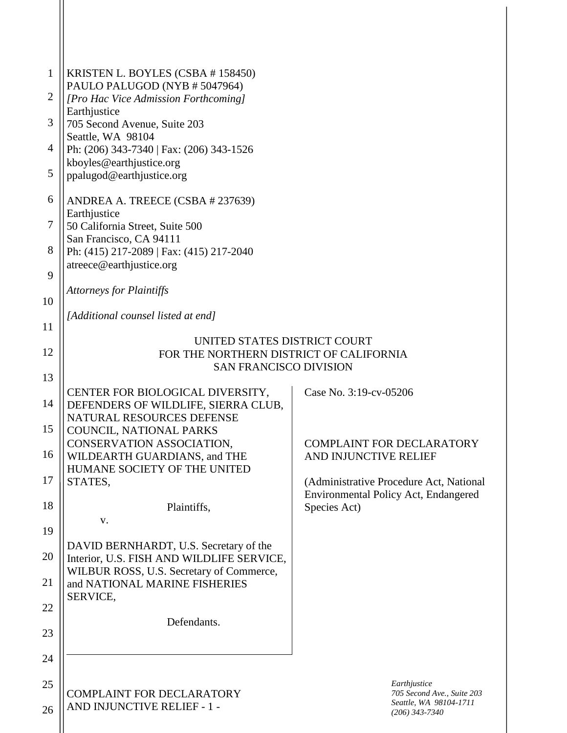| $\mathbf{1}$<br>$\overline{2}$ | KRISTEN L. BOYLES (CSBA # 158450)<br>PAULO PALUGOD (NYB # 5047964)<br>[Pro Hac Vice Admission Forthcoming] |                                                           |  |  |
|--------------------------------|------------------------------------------------------------------------------------------------------------|-----------------------------------------------------------|--|--|
| 3                              | Earthjustice                                                                                               |                                                           |  |  |
|                                | 705 Second Avenue, Suite 203<br>Seattle, WA 98104                                                          |                                                           |  |  |
| $\overline{4}$                 | Ph: (206) 343-7340   Fax: (206) 343-1526<br>kboyles@earthjustice.org                                       |                                                           |  |  |
| 5                              | ppalugod@earthjustice.org                                                                                  |                                                           |  |  |
| 6                              | ANDREA A. TREECE (CSBA # 237639)<br>Earthjustice                                                           |                                                           |  |  |
| $\tau$                         | 50 California Street, Suite 500                                                                            |                                                           |  |  |
| 8                              | San Francisco, CA 94111<br>Ph: (415) 217-2089   Fax: (415) 217-2040                                        |                                                           |  |  |
| 9                              | atreece@earthjustice.org                                                                                   |                                                           |  |  |
| 10                             | <b>Attorneys for Plaintiffs</b>                                                                            |                                                           |  |  |
| 11                             | [Additional counsel listed at end]                                                                         |                                                           |  |  |
|                                | UNITED STATES DISTRICT COURT                                                                               |                                                           |  |  |
| 12                             | FOR THE NORTHERN DISTRICT OF CALIFORNIA<br><b>SAN FRANCISCO DIVISION</b>                                   |                                                           |  |  |
| 13                             |                                                                                                            |                                                           |  |  |
| 14                             | CENTER FOR BIOLOGICAL DIVERSITY,<br>DEFENDERS OF WILDLIFE, SIERRA CLUB,                                    | Case No. 3:19-cv-05206                                    |  |  |
| 15                             | <b>NATURAL RESOURCES DEFENSE</b><br>COUNCIL, NATIONAL PARKS                                                |                                                           |  |  |
| 16                             | CONSERVATION ASSOCIATION,<br>WILDEARTH GUARDIANS, and THE                                                  | <b>COMPLAINT FOR DECLARATORY</b><br>AND INJUNCTIVE RELIEF |  |  |
| 17                             | HUMANE SOCIETY OF THE UNITED<br>STATES,                                                                    | (Administrative Procedure Act, National                   |  |  |
| 18                             | Plaintiffs,                                                                                                | Environmental Policy Act, Endangered<br>Species Act)      |  |  |
| 19                             | V.                                                                                                         |                                                           |  |  |
| 20                             | DAVID BERNHARDT, U.S. Secretary of the                                                                     |                                                           |  |  |
|                                | Interior, U.S. FISH AND WILDLIFE SERVICE,<br>WILBUR ROSS, U.S. Secretary of Commerce,                      |                                                           |  |  |
| 21                             | and NATIONAL MARINE FISHERIES<br>SERVICE,                                                                  |                                                           |  |  |
| 22                             | Defendants.                                                                                                |                                                           |  |  |
| 23                             |                                                                                                            |                                                           |  |  |
| 24                             |                                                                                                            |                                                           |  |  |
| 25                             | <b>COMPLAINT FOR DECLARATORY</b>                                                                           | Earthjustice<br>705 Second Ave., Suite 203                |  |  |
| 26                             | AND INJUNCTIVE RELIEF - 1 -                                                                                | Seattle, WA 98104-1711<br>$(206)$ 343-7340                |  |  |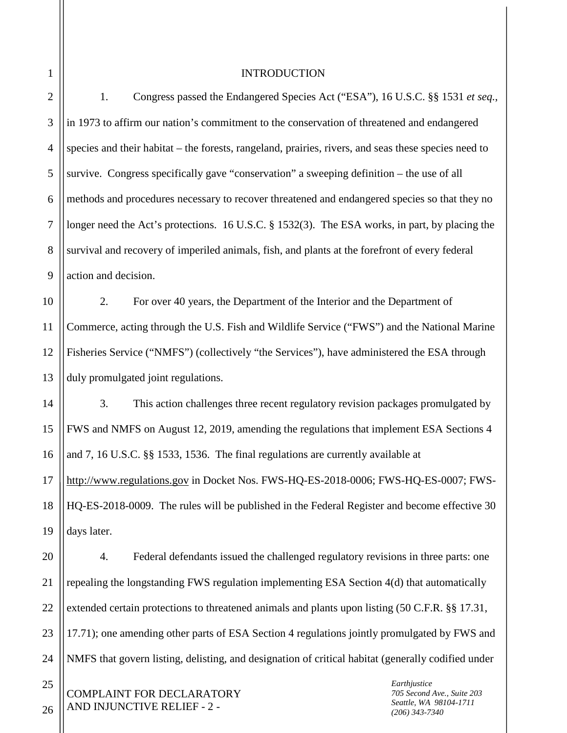INTRODUCTION

2 3 4 5 6 7 8 9 1. Congress passed the Endangered Species Act ("ESA"), 16 U.S.C. §§ 1531 *et seq.*, in 1973 to affirm our nation's commitment to the conservation of threatened and endangered species and their habitat – the forests, rangeland, prairies, rivers, and seas these species need to survive. Congress specifically gave "conservation" a sweeping definition – the use of all methods and procedures necessary to recover threatened and endangered species so that they no longer need the Act's protections. 16 U.S.C. § 1532(3). The ESA works, in part, by placing the survival and recovery of imperiled animals, fish, and plants at the forefront of every federal action and decision.

10 11 12 13 2. For over 40 years, the Department of the Interior and the Department of Commerce, acting through the U.S. Fish and Wildlife Service ("FWS") and the National Marine Fisheries Service ("NMFS") (collectively "the Services"), have administered the ESA through duly promulgated joint regulations.

14 15 16 17 18 19 3. This action challenges three recent regulatory revision packages promulgated by FWS and NMFS on August 12, 2019, amending the regulations that implement ESA Sections 4 and 7, 16 U.S.C. §§ 1533, 1536. The final regulations are currently available at http://www.regulations.gov in Docket Nos. FWS-HQ-ES-2018-0006; FWS-HQ-ES-0007; FWS-HQ-ES-2018-0009. The rules will be published in the Federal Register and become effective 30 days later.

20 21 22

23

24

25

26

4. Federal defendants issued the challenged regulatory revisions in three parts: one repealing the longstanding FWS regulation implementing ESA Section 4(d) that automatically extended certain protections to threatened animals and plants upon listing (50 C.F.R. §§ 17.31, 17.71); one amending other parts of ESA Section 4 regulations jointly promulgated by FWS and NMFS that govern listing, delisting, and designation of critical habitat (generally codified under

COMPLAINT FOR DECLARATORY AND INJUNCTIVE RELIEF - 2 -

*Earthjustice 705 Second Ave., Suite 203 Seattle, WA 98104-1711 (206) 343-7340*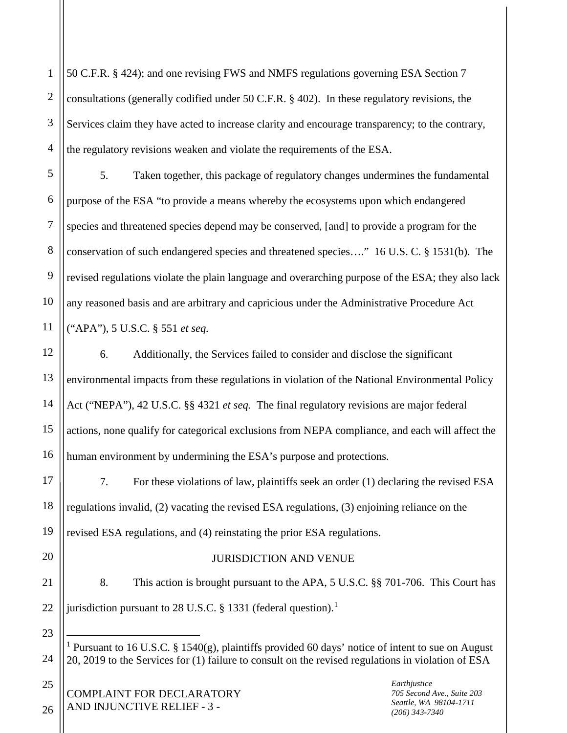1 2 3 4 50 C.F.R. § 424); and one revising FWS and NMFS regulations governing ESA Section 7 consultations (generally codified under 50 C.F.R. § 402). In these regulatory revisions, the Services claim they have acted to increase clarity and encourage transparency; to the contrary, the regulatory revisions weaken and violate the requirements of the ESA.

5 6 8 9 10 5. Taken together, this package of regulatory changes undermines the fundamental purpose of the ESA "to provide a means whereby the ecosystems upon which endangered species and threatened species depend may be conserved, [and] to provide a program for the conservation of such endangered species and threatened species…." 16 U.S. C. § 1531(b). The revised regulations violate the plain language and overarching purpose of the ESA; they also lack any reasoned basis and are arbitrary and capricious under the Administrative Procedure Act ("APA"), 5 U.S.C. § 551 *et seq.*

12 13 14 15 16 6. Additionally, the Services failed to consider and disclose the significant environmental impacts from these regulations in violation of the National Environmental Policy Act ("NEPA"), 42 U.S.C. §§ 4321 *et seq.* The final regulatory revisions are major federal actions, none qualify for categorical exclusions from NEPA compliance, and each will affect the human environment by undermining the ESA's purpose and protections.

17 18 19 7. For these violations of law, plaintiffs seek an order (1) declaring the revised ESA regulations invalid, (2) vacating the revised ESA regulations, (3) enjoining reliance on the revised ESA regulations, and (4) reinstating the prior ESA regulations.

## JURISDICTION AND VENUE

8. This action is brought pursuant to the APA, 5 U.S.C. §§ 701-706. This Court has jurisdiction pursuant to 28 U.S.C. § [1](#page-2-0)331 (federal question).<sup>1</sup>

COMPLAINT FOR DECLARATORY AND INJUNCTIVE RELIEF - 3 -

*Earthjustice 705 Second Ave., Suite 203 Seattle, WA 98104-1711 (206) 343-7340*

25

26

20

21

22

<span id="page-2-0"></span>23

24

7

<sup>&</sup>lt;sup>1</sup> Pursuant to 16 U.S.C. § 1540(g), plaintiffs provided 60 days' notice of intent to sue on August 20, 2019 to the Services for (1) failure to consult on the revised regulations in violation of ESA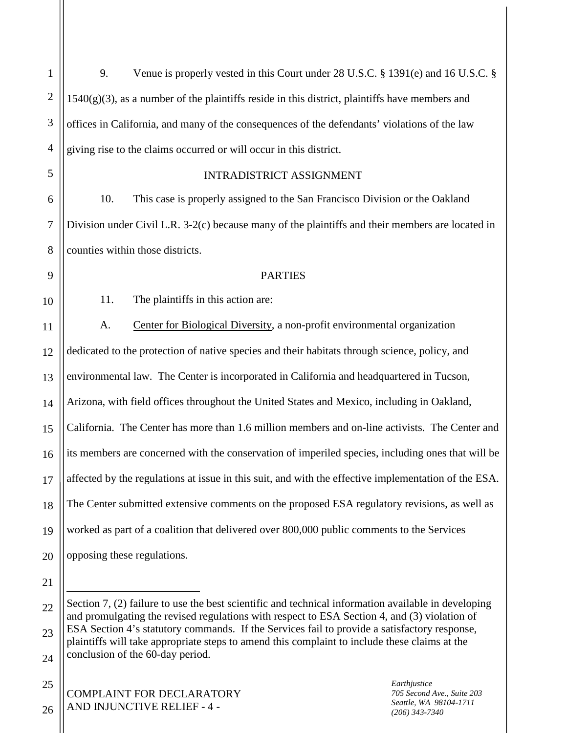1 2 3 4 5 6 7 8 9 10 11 12 13 14 15 16 17 18 19 20 21 22 23 9. Venue is properly vested in this Court under 28 U.S.C. § 1391(e) and 16 U.S.C. §  $1540(g)(3)$ , as a number of the plaintiffs reside in this district, plaintiffs have members and offices in California, and many of the consequences of the defendants' violations of the law giving rise to the claims occurred or will occur in this district. INTRADISTRICT ASSIGNMENT 10. This case is properly assigned to the San Francisco Division or the Oakland Division under Civil L.R. 3-2(c) because many of the plaintiffs and their members are located in counties within those districts. **PARTIES** 11. The plaintiffs in this action are: A. Center for Biological Diversity, a non-profit environmental organization dedicated to the protection of native species and their habitats through science, policy, and environmental law. The Center is incorporated in California and headquartered in Tucson, Arizona, with field offices throughout the United States and Mexico, including in Oakland, California. The Center has more than 1.6 million members and on-line activists. The Center and its members are concerned with the conservation of imperiled species, including ones that will be affected by the regulations at issue in this suit, and with the effective implementation of the ESA. The Center submitted extensive comments on the proposed ESA regulatory revisions, as well as worked as part of a coalition that delivered over 800,000 public comments to the Services opposing these regulations.  $\overline{a}$ Section 7, (2) failure to use the best scientific and technical information available in developing and promulgating the revised regulations with respect to ESA Section 4, and (3) violation of ESA Section 4's statutory commands. If the Services fail to provide a satisfactory response, plaintiffs will take appropriate steps to amend this complaint to include these claims at the

25

26

COMPLAINT FOR DECLARATORY AND INJUNCTIVE RELIEF - 4 -

<sup>24</sup> conclusion of the 60-day period.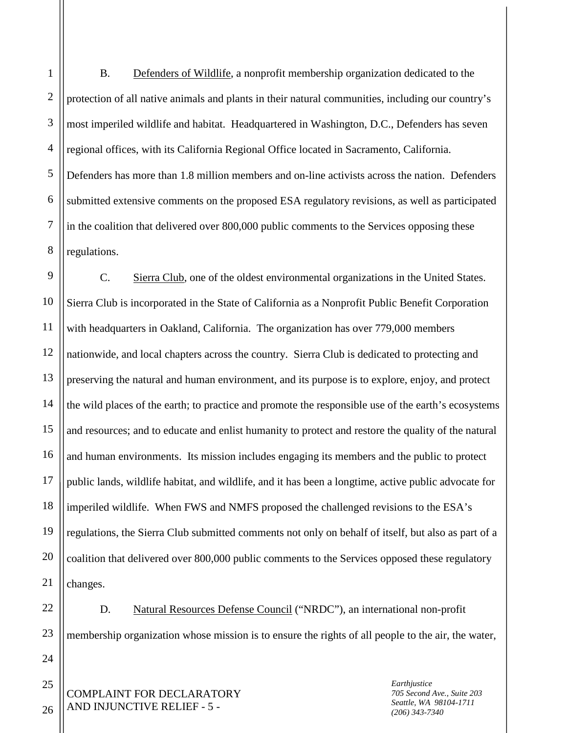2 3 4 5 6 7 8 B. Defenders of Wildlife, a nonprofit membership organization dedicated to the protection of all native animals and plants in their natural communities, including our country's most imperiled wildlife and habitat. Headquartered in Washington, D.C., Defenders has seven regional offices, with its California Regional Office located in Sacramento, California. Defenders has more than 1.8 million members and on-line activists across the nation. Defenders submitted extensive comments on the proposed ESA regulatory revisions, as well as participated in the coalition that delivered over 800,000 public comments to the Services opposing these regulations.

9 10 11 12 13 14 15 16 17 18 19 20 21 C. Sierra Club, one of the oldest environmental organizations in the United States. Sierra Club is incorporated in the State of California as a Nonprofit Public Benefit Corporation with headquarters in Oakland, California. The organization has over 779,000 members nationwide, and local chapters across the country. Sierra Club is dedicated to protecting and preserving the natural and human environment, and its purpose is to explore, enjoy, and protect the wild places of the earth; to practice and promote the responsible use of the earth's ecosystems and resources; and to educate and enlist humanity to protect and restore the quality of the natural and human environments. Its mission includes engaging its members and the public to protect public lands, wildlife habitat, and wildlife, and it has been a longtime, active public advocate for imperiled wildlife. When FWS and NMFS proposed the challenged revisions to the ESA's regulations, the Sierra Club submitted comments not only on behalf of itself, but also as part of a coalition that delivered over 800,000 public comments to the Services opposed these regulatory changes.

D. Natural Resources Defense Council ("NRDC"), an international non-profit membership organization whose mission is to ensure the rights of all people to the air, the water,

COMPLAINT FOR DECLARATORY AND INJUNCTIVE RELIEF - 5 -

*Earthjustice 705 Second Ave., Suite 203 Seattle, WA 98104-1711 (206) 343-7340*

26

22

23

24

25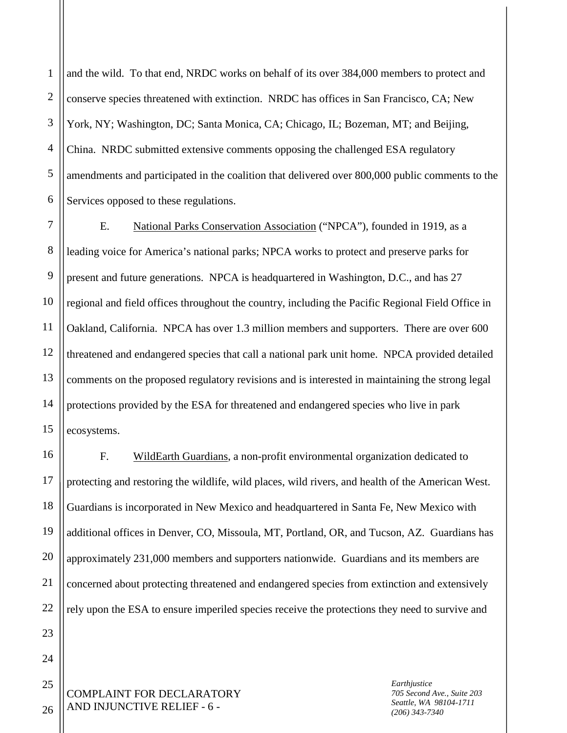1 2 3 4 5 6 and the wild. To that end, NRDC works on behalf of its over 384,000 members to protect and conserve species threatened with extinction. NRDC has offices in San Francisco, CA; New York, NY; Washington, DC; Santa Monica, CA; Chicago, IL; Bozeman, MT; and Beijing, China. NRDC submitted extensive comments opposing the challenged ESA regulatory amendments and participated in the coalition that delivered over 800,000 public comments to the Services opposed to these regulations.

7 8 9 10 11 12 13 14 15 E. National Parks Conservation Association ("NPCA"), founded in 1919, as a leading voice for America's national parks; NPCA works to protect and preserve parks for present and future generations. NPCA is headquartered in Washington, D.C., and has 27 regional and field offices throughout the country, including the Pacific Regional Field Office in Oakland, California. NPCA has over 1.3 million members and supporters. There are over 600 threatened and endangered species that call a national park unit home. NPCA provided detailed comments on the proposed regulatory revisions and is interested in maintaining the strong legal protections provided by the ESA for threatened and endangered species who live in park ecosystems.

16 17 18 19 20 21 22 F. WildEarth Guardians, a non-profit environmental organization dedicated to protecting and restoring the wildlife, wild places, wild rivers, and health of the American West. Guardians is incorporated in New Mexico and headquartered in Santa Fe, New Mexico with additional offices in Denver, CO, Missoula, MT, Portland, OR, and Tucson, AZ. Guardians has approximately 231,000 members and supporters nationwide. Guardians and its members are concerned about protecting threatened and endangered species from extinction and extensively rely upon the ESA to ensure imperiled species receive the protections they need to survive and

COMPLAINT FOR DECLARATORY AND INJUNCTIVE RELIEF - 6 -

*Earthjustice 705 Second Ave., Suite 203 Seattle, WA 98104-1711 (206) 343-7340*

26

23

24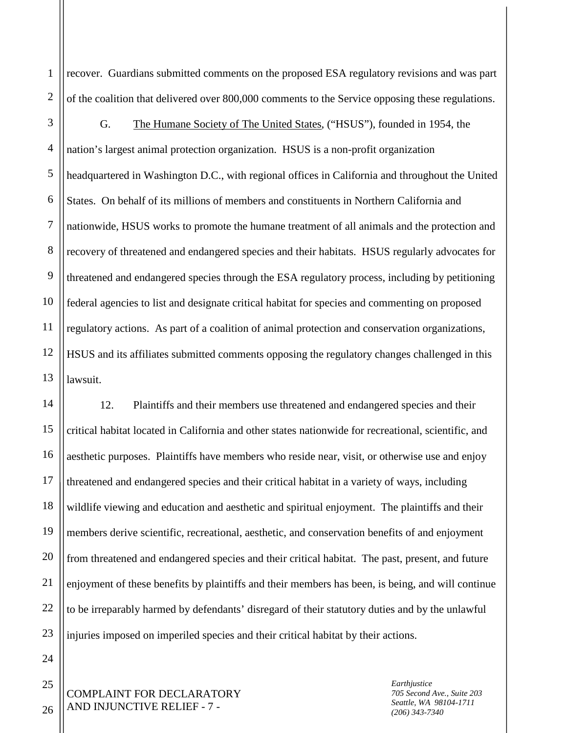recover. Guardians submitted comments on the proposed ESA regulatory revisions and was part of the coalition that delivered over 800,000 comments to the Service opposing these regulations.

3 4 5 6 7 8 9 10 11 12 13 G. The Humane Society of The United States, ("HSUS"), founded in 1954, the nation's largest animal protection organization. HSUS is a non-profit organization headquartered in Washington D.C., with regional offices in California and throughout the United States. On behalf of its millions of members and constituents in Northern California and nationwide, HSUS works to promote the humane treatment of all animals and the protection and recovery of threatened and endangered species and their habitats. HSUS regularly advocates for threatened and endangered species through the ESA regulatory process, including by petitioning federal agencies to list and designate critical habitat for species and commenting on proposed regulatory actions. As part of a coalition of animal protection and conservation organizations, HSUS and its affiliates submitted comments opposing the regulatory changes challenged in this lawsuit.

14 15 16 17 18 19 20 21 22 23 12. Plaintiffs and their members use threatened and endangered species and their critical habitat located in California and other states nationwide for recreational, scientific, and aesthetic purposes. Plaintiffs have members who reside near, visit, or otherwise use and enjoy threatened and endangered species and their critical habitat in a variety of ways, including wildlife viewing and education and aesthetic and spiritual enjoyment. The plaintiffs and their members derive scientific, recreational, aesthetic, and conservation benefits of and enjoyment from threatened and endangered species and their critical habitat. The past, present, and future enjoyment of these benefits by plaintiffs and their members has been, is being, and will continue to be irreparably harmed by defendants' disregard of their statutory duties and by the unlawful injuries imposed on imperiled species and their critical habitat by their actions.

COMPLAINT FOR DECLARATORY AND INJUNCTIVE RELIEF - 7 -

*Earthjustice 705 Second Ave., Suite 203 Seattle, WA 98104-1711 (206) 343-7340*

24 25

26

1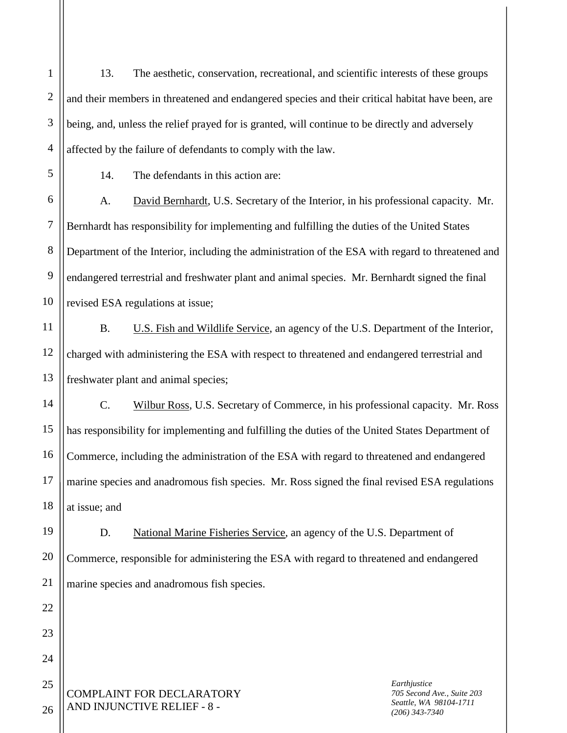13. The aesthetic, conservation, recreational, and scientific interests of these groups and their members in threatened and endangered species and their critical habitat have been, are being, and, unless the relief prayed for is granted, will continue to be directly and adversely affected by the failure of defendants to comply with the law.

1

2

3

4

5

11

12

13

14

15

16

17

18

22

23

24

25

14. The defendants in this action are:

6 7 8 9 10 A. David Bernhardt, U.S. Secretary of the Interior, in his professional capacity. Mr. Bernhardt has responsibility for implementing and fulfilling the duties of the United States Department of the Interior, including the administration of the ESA with regard to threatened and endangered terrestrial and freshwater plant and animal species. Mr. Bernhardt signed the final revised ESA regulations at issue;

B. U.S. Fish and Wildlife Service, an agency of the U.S. Department of the Interior, charged with administering the ESA with respect to threatened and endangered terrestrial and freshwater plant and animal species;

C. Wilbur Ross, U.S. Secretary of Commerce, in his professional capacity. Mr. Ross has responsibility for implementing and fulfilling the duties of the United States Department of Commerce, including the administration of the ESA with regard to threatened and endangered marine species and anadromous fish species. Mr. Ross signed the final revised ESA regulations at issue; and

19 20 21 D. National Marine Fisheries Service, an agency of the U.S. Department of Commerce, responsible for administering the ESA with regard to threatened and endangered marine species and anadromous fish species.

COMPLAINT FOR DECLARATORY AND INJUNCTIVE RELIEF - 8 -

*Earthjustice 705 Second Ave., Suite 203 Seattle, WA 98104-1711 (206) 343-7340*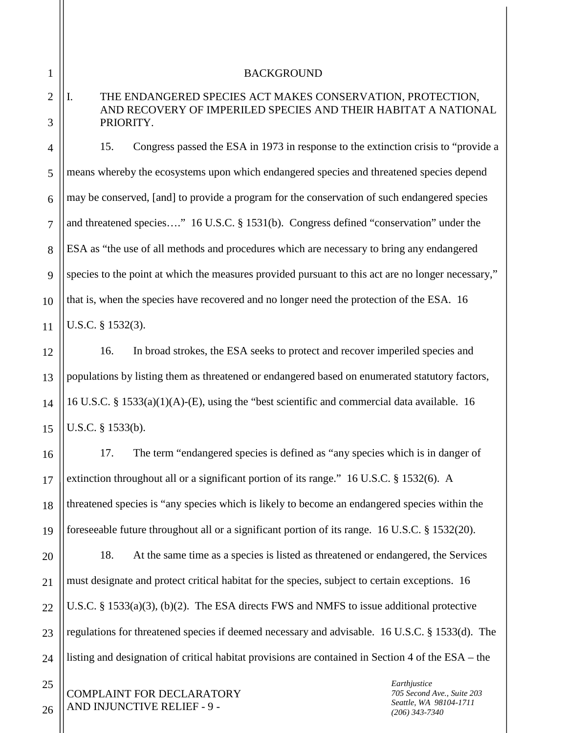1 2

3

4

5

6

7

8

9

11

12

13

14

15

17

#### BACKGROUND

## I. THE ENDANGERED SPECIES ACT MAKES CONSERVATION, PROTECTION, AND RECOVERY OF IMPERILED SPECIES AND THEIR HABITAT A NATIONAL PRIORITY.

10 15. Congress passed the ESA in 1973 in response to the extinction crisis to "provide a means whereby the ecosystems upon which endangered species and threatened species depend may be conserved, [and] to provide a program for the conservation of such endangered species and threatened species…." 16 U.S.C. § 1531(b). Congress defined "conservation" under the ESA as "the use of all methods and procedures which are necessary to bring any endangered species to the point at which the measures provided pursuant to this act are no longer necessary," that is, when the species have recovered and no longer need the protection of the ESA. 16 U.S.C. § 1532(3).

16. In broad strokes, the ESA seeks to protect and recover imperiled species and populations by listing them as threatened or endangered based on enumerated statutory factors, 16 U.S.C. § 1533(a)(1)(A)-(E), using the "best scientific and commercial data available. 16 U.S.C. § 1533(b).

16 18 19 17. The term "endangered species is defined as "any species which is in danger of extinction throughout all or a significant portion of its range." 16 U.S.C. § 1532(6). A threatened species is "any species which is likely to become an endangered species within the foreseeable future throughout all or a significant portion of its range. 16 U.S.C. § 1532(20).

20 21 22 23 24 18. At the same time as a species is listed as threatened or endangered, the Services must designate and protect critical habitat for the species, subject to certain exceptions. 16 U.S.C. § 1533(a)(3), (b)(2). The ESA directs FWS and NMFS to issue additional protective regulations for threatened species if deemed necessary and advisable. 16 U.S.C. § 1533(d). The listing and designation of critical habitat provisions are contained in Section 4 of the ESA – the

COMPLAINT FOR DECLARATORY AND INJUNCTIVE RELIEF - 9 -

*Earthjustice 705 Second Ave., Suite 203 Seattle, WA 98104-1711 (206) 343-7340*

26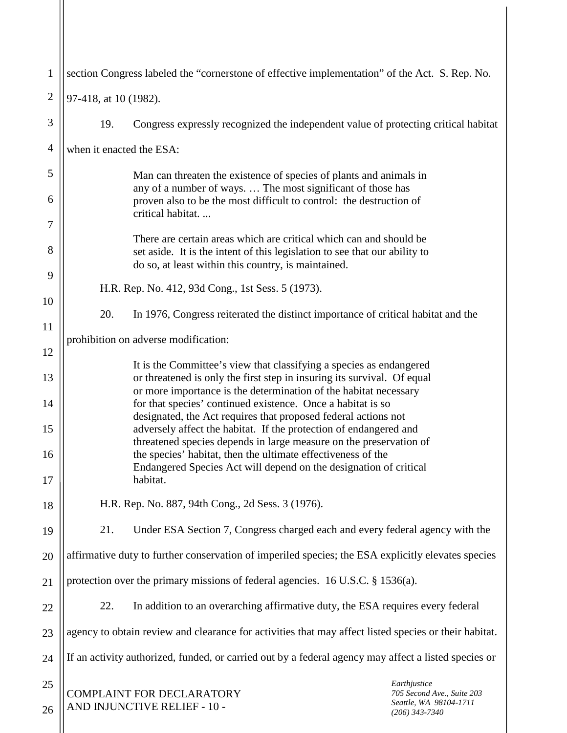| $\mathbf{1}$   | section Congress labeled the "cornerstone of effective implementation" of the Act. S. Rep. No.                                                                                                                               |  |  |
|----------------|------------------------------------------------------------------------------------------------------------------------------------------------------------------------------------------------------------------------------|--|--|
| $\overline{2}$ | 97-418, at 10 (1982).                                                                                                                                                                                                        |  |  |
| 3              | 19.<br>Congress expressly recognized the independent value of protecting critical habitat                                                                                                                                    |  |  |
| $\overline{4}$ | when it enacted the ESA:                                                                                                                                                                                                     |  |  |
| 5              | Man can threaten the existence of species of plants and animals in<br>any of a number of ways.  The most significant of those has<br>proven also to be the most difficult to control: the destruction of<br>critical habitat |  |  |
| 6              |                                                                                                                                                                                                                              |  |  |
| 7              | There are certain areas which are critical which can and should be                                                                                                                                                           |  |  |
| 8              | set aside. It is the intent of this legislation to see that our ability to<br>do so, at least within this country, is maintained.                                                                                            |  |  |
| 9              | H.R. Rep. No. 412, 93d Cong., 1st Sess. 5 (1973).                                                                                                                                                                            |  |  |
| 10             | 20.<br>In 1976, Congress reiterated the distinct importance of critical habitat and the                                                                                                                                      |  |  |
| 11             | prohibition on adverse modification:                                                                                                                                                                                         |  |  |
| 12             | It is the Committee's view that classifying a species as endangered                                                                                                                                                          |  |  |
| 13             | or threatened is only the first step in insuring its survival. Of equal<br>or more importance is the determination of the habitat necessary                                                                                  |  |  |
| 14             | for that species' continued existence. Once a habitat is so<br>designated, the Act requires that proposed federal actions not                                                                                                |  |  |
| 15             | adversely affect the habitat. If the protection of endangered and<br>threatened species depends in large measure on the preservation of                                                                                      |  |  |
| 16<br>17       | the species' habitat, then the ultimate effectiveness of the<br>Endangered Species Act will depend on the designation of critical<br>habitat.                                                                                |  |  |
| 18             | H.R. Rep. No. 887, 94th Cong., 2d Sess. 3 (1976).                                                                                                                                                                            |  |  |
| 19             | 21.<br>Under ESA Section 7, Congress charged each and every federal agency with the                                                                                                                                          |  |  |
| 20             | affirmative duty to further conservation of imperiled species; the ESA explicitly elevates species                                                                                                                           |  |  |
| 21             | protection over the primary missions of federal agencies. 16 U.S.C. § 1536(a).                                                                                                                                               |  |  |
| 22             | In addition to an overarching affirmative duty, the ESA requires every federal<br>22.                                                                                                                                        |  |  |
| 23             | agency to obtain review and clearance for activities that may affect listed species or their habitat.                                                                                                                        |  |  |
| 24             | If an activity authorized, funded, or carried out by a federal agency may affect a listed species or                                                                                                                         |  |  |
| 25             | Earthjustice                                                                                                                                                                                                                 |  |  |
| 26             | <b>COMPLAINT FOR DECLARATORY</b><br>705 Second Ave., Suite 203<br>Seattle, WA 98104-1711<br>AND INJUNCTIVE RELIEF - 10 -<br>$(206)$ 343-7340                                                                                 |  |  |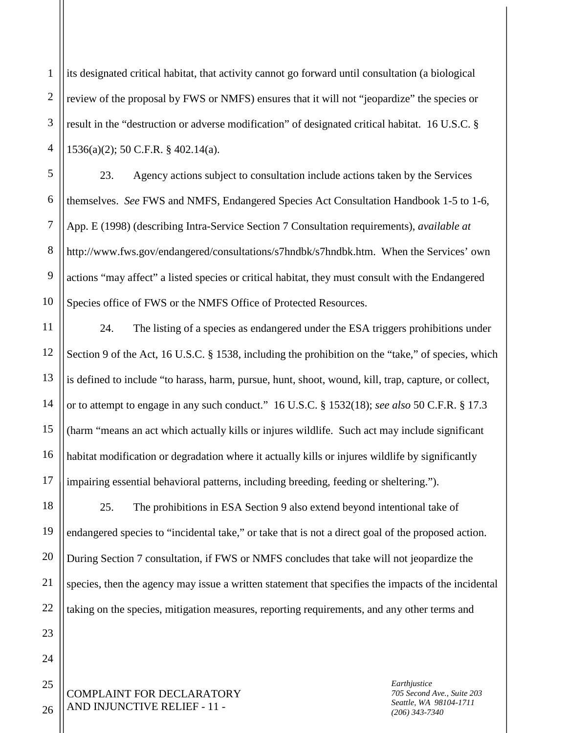2 3 4 its designated critical habitat, that activity cannot go forward until consultation (a biological review of the proposal by FWS or NMFS) ensures that it will not "jeopardize" the species or result in the "destruction or adverse modification" of designated critical habitat. 16 U.S.C. § 1536(a)(2); 50 C.F.R. § 402.14(a).

5 6 7 8 9 10 23. Agency actions subject to consultation include actions taken by the Services themselves. *See* FWS and NMFS, Endangered Species Act Consultation Handbook 1-5 to 1-6, App. E (1998) (describing Intra-Service Section 7 Consultation requirements), *available at* http://www.fws.gov/endangered/consultations/s7hndbk/s7hndbk.htm. When the Services' own actions "may affect" a listed species or critical habitat, they must consult with the Endangered Species office of FWS or the NMFS Office of Protected Resources.

11 12 13 14 15 16 17 24. The listing of a species as endangered under the ESA triggers prohibitions under Section 9 of the Act, 16 U.S.C. § 1538, including the prohibition on the "take," of species, which is defined to include "to harass, harm, pursue, hunt, shoot, wound, kill, trap, capture, or collect, or to attempt to engage in any such conduct." 16 U.S.C. § 1532(18); *see also* 50 C.F.R. § 17.3 (harm "means an act which actually kills or injures wildlife. Such act may include significant habitat modification or degradation where it actually kills or injures wildlife by significantly impairing essential behavioral patterns, including breeding, feeding or sheltering.").

18 19 20 21 22 25. The prohibitions in ESA Section 9 also extend beyond intentional take of endangered species to "incidental take," or take that is not a direct goal of the proposed action. During Section 7 consultation, if FWS or NMFS concludes that take will not jeopardize the species, then the agency may issue a written statement that specifies the impacts of the incidental taking on the species, mitigation measures, reporting requirements, and any other terms and

COMPLAINT FOR DECLARATORY AND INJUNCTIVE RELIEF - 11 -

*Earthjustice 705 Second Ave., Suite 203 Seattle, WA 98104-1711 (206) 343-7340*

26

25

23

24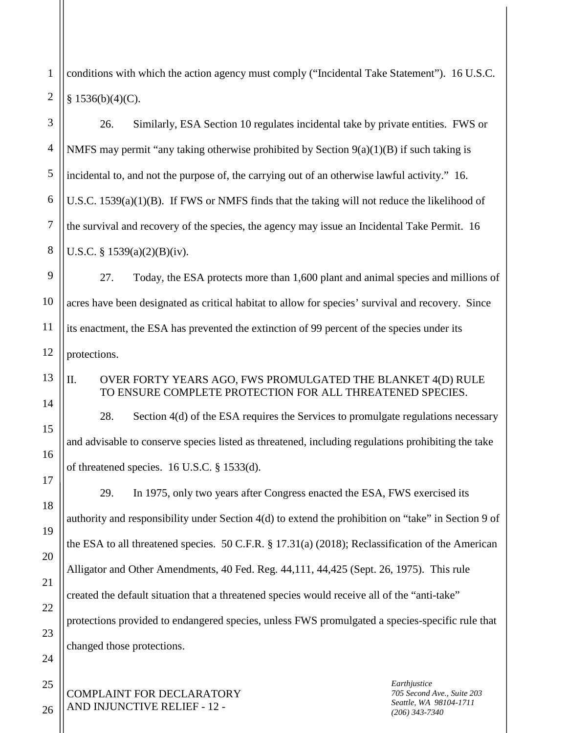1 2 conditions with which the action agency must comply ("Incidental Take Statement"). 16 U.S.C.  $§ 1536(b)(4)(C).$ 

3 4 5 6 7 8 26. Similarly, ESA Section 10 regulates incidental take by private entities. FWS or NMFS may permit "any taking otherwise prohibited by Section 9(a)(1)(B) if such taking is incidental to, and not the purpose of, the carrying out of an otherwise lawful activity." 16. U.S.C. 1539(a)(1)(B). If FWS or NMFS finds that the taking will not reduce the likelihood of the survival and recovery of the species, the agency may issue an Incidental Take Permit. 16 U.S.C. § 1539(a)(2)(B)(iv).

9 10 11 12 27. Today, the ESA protects more than 1,600 plant and animal species and millions of acres have been designated as critical habitat to allow for species' survival and recovery. Since its enactment, the ESA has prevented the extinction of 99 percent of the species under its protections.

II. OVER FORTY YEARS AGO, FWS PROMULGATED THE BLANKET 4(D) RULE TO ENSURE COMPLETE PROTECTION FOR ALL THREATENED SPECIES.

28. Section 4(d) of the ESA requires the Services to promulgate regulations necessary and advisable to conserve species listed as threatened, including regulations prohibiting the take of threatened species. 16 U.S.C. § 1533(d).

29. In 1975, only two years after Congress enacted the ESA, FWS exercised its authority and responsibility under Section 4(d) to extend the prohibition on "take" in Section 9 of the ESA to all threatened species. 50 C.F.R. § 17.31(a) (2018); Reclassification of the American Alligator and Other Amendments, 40 Fed. Reg. 44,111, 44,425 (Sept. 26, 1975). This rule created the default situation that a threatened species would receive all of the "anti-take" protections provided to endangered species, unless FWS promulgated a species-specific rule that changed those protections.

COMPLAINT FOR DECLARATORY AND INJUNCTIVE RELIEF - 12 -

*Earthjustice 705 Second Ave., Suite 203 Seattle, WA 98104-1711 (206) 343-7340*

26

13

14

15

16

17

18

19

20

21

22

23

24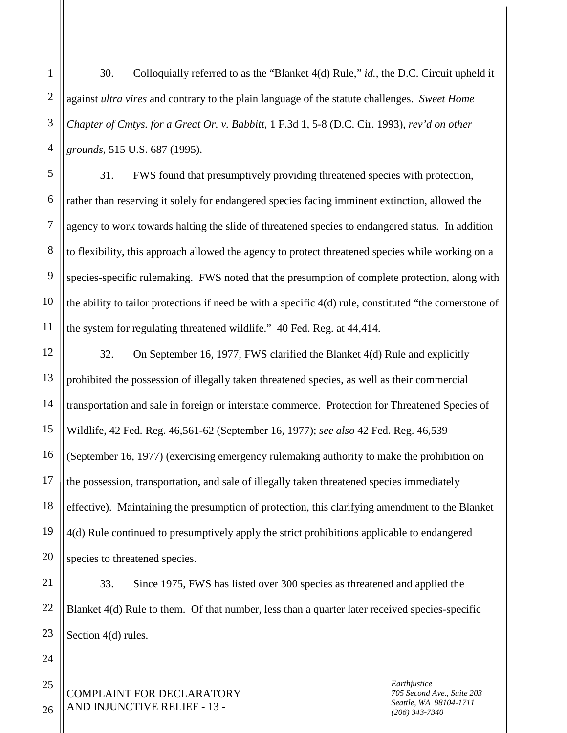2 3 4 30. Colloquially referred to as the "Blanket 4(d) Rule," *id.,* the D.C. Circuit upheld it against *ultra vires* and contrary to the plain language of the statute challenges. *Sweet Home Chapter of Cmtys. for a Great Or. v. Babbitt*, 1 F.3d 1, 5-8 (D.C. Cir. 1993), *rev'd on other grounds*, 515 U.S. 687 (1995).

5 6 8 9 10 31. FWS found that presumptively providing threatened species with protection, rather than reserving it solely for endangered species facing imminent extinction, allowed the agency to work towards halting the slide of threatened species to endangered status. In addition to flexibility, this approach allowed the agency to protect threatened species while working on a species-specific rulemaking. FWS noted that the presumption of complete protection, along with the ability to tailor protections if need be with a specific 4(d) rule, constituted "the cornerstone of the system for regulating threatened wildlife." 40 Fed. Reg. at 44,414.

12 13 14 15 16 17 18 19 20 32. On September 16, 1977, FWS clarified the Blanket 4(d) Rule and explicitly prohibited the possession of illegally taken threatened species, as well as their commercial transportation and sale in foreign or interstate commerce. Protection for Threatened Species of Wildlife, 42 Fed. Reg. 46,561-62 (September 16, 1977); *see also* 42 Fed. Reg. 46,539 (September 16, 1977) (exercising emergency rulemaking authority to make the prohibition on the possession, transportation, and sale of illegally taken threatened species immediately effective). Maintaining the presumption of protection, this clarifying amendment to the Blanket 4(d) Rule continued to presumptively apply the strict prohibitions applicable to endangered species to threatened species.

21 22 23 33. Since 1975, FWS has listed over 300 species as threatened and applied the Blanket 4(d) Rule to them. Of that number, less than a quarter later received species-specific Section 4(d) rules.

COMPLAINT FOR DECLARATORY AND INJUNCTIVE RELIEF - 13 -

*Earthjustice 705 Second Ave., Suite 203 Seattle, WA 98104-1711 (206) 343-7340*

26

24

25

1

7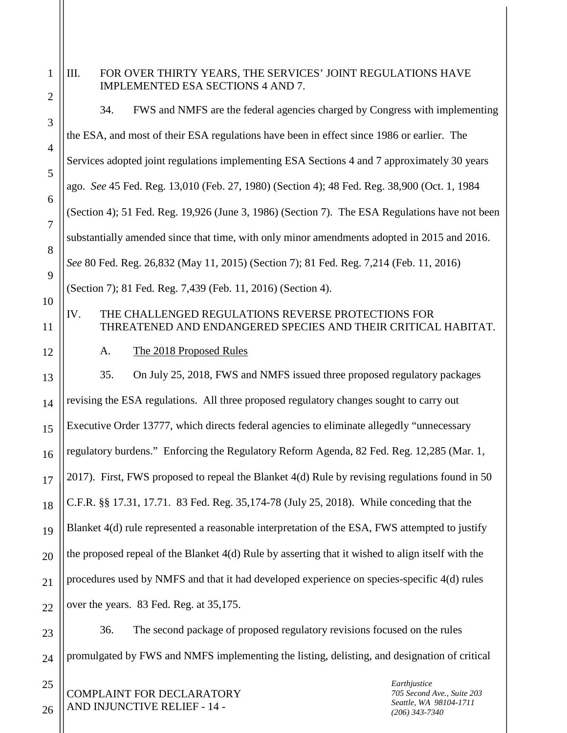| 1                   | III.<br>FOR OVER THIRTY YEARS, THE SERVICES' JOINT REGULATIONS HAVE<br>IMPLEMENTED ESA SECTIONS 4 AND 7.                      |  |  |
|---------------------|-------------------------------------------------------------------------------------------------------------------------------|--|--|
| $\overline{2}$<br>3 | 34.<br>FWS and NMFS are the federal agencies charged by Congress with implementing                                            |  |  |
| $\overline{4}$      | the ESA, and most of their ESA regulations have been in effect since 1986 or earlier. The                                     |  |  |
| 5                   | Services adopted joint regulations implementing ESA Sections 4 and 7 approximately 30 years                                   |  |  |
| 6                   | ago. See 45 Fed. Reg. 13,010 (Feb. 27, 1980) (Section 4); 48 Fed. Reg. 38,900 (Oct. 1, 1984                                   |  |  |
| 7                   | (Section 4); 51 Fed. Reg. 19,926 (June 3, 1986) (Section 7). The ESA Regulations have not been                                |  |  |
| 8                   | substantially amended since that time, with only minor amendments adopted in 2015 and 2016.                                   |  |  |
| 9                   | See 80 Fed. Reg. 26,832 (May 11, 2015) (Section 7); 81 Fed. Reg. 7,214 (Feb. 11, 2016)                                        |  |  |
| 10                  | (Section 7); 81 Fed. Reg. 7,439 (Feb. 11, 2016) (Section 4).                                                                  |  |  |
| 11                  | IV.<br>THE CHALLENGED REGULATIONS REVERSE PROTECTIONS FOR<br>THREATENED AND ENDANGERED SPECIES AND THEIR CRITICAL HABITAT.    |  |  |
| 12                  | The 2018 Proposed Rules<br>A.                                                                                                 |  |  |
| 13                  | On July 25, 2018, FWS and NMFS issued three proposed regulatory packages<br>35.                                               |  |  |
| 14                  | revising the ESA regulations. All three proposed regulatory changes sought to carry out                                       |  |  |
| 15                  | Executive Order 13777, which directs federal agencies to eliminate allegedly "unnecessary                                     |  |  |
| 16                  | regulatory burdens." Enforcing the Regulatory Reform Agenda, 82 Fed. Reg. 12,285 (Mar. 1,                                     |  |  |
| 17                  | 2017). First, FWS proposed to repeal the Blanket 4(d) Rule by revising regulations found in 50                                |  |  |
| 18                  | C.F.R. §§ 17.31, 17.71. 83 Fed. Reg. 35, 174-78 (July 25, 2018). While conceding that the                                     |  |  |
| 19                  | Blanket 4(d) rule represented a reasonable interpretation of the ESA, FWS attempted to justify                                |  |  |
| 20                  | the proposed repeal of the Blanket 4(d) Rule by asserting that it wished to align itself with the                             |  |  |
| 21                  | procedures used by NMFS and that it had developed experience on species-specific 4(d) rules                                   |  |  |
| 22                  | over the years. 83 Fed. Reg. at 35,175.                                                                                       |  |  |
| 23                  | The second package of proposed regulatory revisions focused on the rules<br>36.                                               |  |  |
| 24                  | promulgated by FWS and NMFS implementing the listing, delisting, and designation of critical                                  |  |  |
| 25                  | Earthjustice<br>705 Second Ave., Suite 203<br>COMPLAINT FOR DECLARATORY<br>Seattle, WA 98104-1711<br>NID INIHNCTIVE DELIEE 14 |  |  |

*(206) 343-7340*

 $_{26} \parallel$  AND INJUNCTIVE RELIEF - 14 -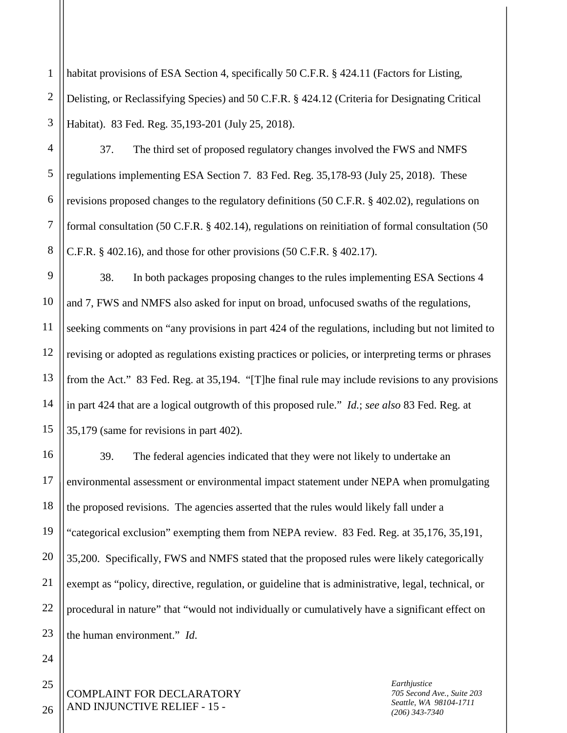1 2 3 habitat provisions of ESA Section 4, specifically 50 C.F.R. § 424.11 (Factors for Listing, Delisting, or Reclassifying Species) and 50 C.F.R. § 424.12 (Criteria for Designating Critical Habitat). 83 Fed. Reg. 35,193-201 (July 25, 2018).

4 5 6 7 8 37. The third set of proposed regulatory changes involved the FWS and NMFS regulations implementing ESA Section 7. 83 Fed. Reg. 35,178-93 (July 25, 2018). These revisions proposed changes to the regulatory definitions (50 C.F.R. § 402.02), regulations on formal consultation (50 C.F.R. § 402.14), regulations on reinitiation of formal consultation (50 C.F.R. § 402.16), and those for other provisions (50 C.F.R. § 402.17).

9 10 12 13 14 15 38. In both packages proposing changes to the rules implementing ESA Sections 4 and 7, FWS and NMFS also asked for input on broad, unfocused swaths of the regulations, seeking comments on "any provisions in part 424 of the regulations, including but not limited to revising or adopted as regulations existing practices or policies, or interpreting terms or phrases from the Act." 83 Fed. Reg. at 35,194. "[T]he final rule may include revisions to any provisions in part 424 that are a logical outgrowth of this proposed rule." *Id.*; *see also* 83 Fed. Reg. at 35,179 (same for revisions in part 402).

16 17 18 19 20 21 22 23 39. The federal agencies indicated that they were not likely to undertake an environmental assessment or environmental impact statement under NEPA when promulgating the proposed revisions. The agencies asserted that the rules would likely fall under a "categorical exclusion" exempting them from NEPA review. 83 Fed. Reg. at 35,176, 35,191, 35,200. Specifically, FWS and NMFS stated that the proposed rules were likely categorically exempt as "policy, directive, regulation, or guideline that is administrative, legal, technical, or procedural in nature" that "would not individually or cumulatively have a significant effect on the human environment." *Id*.

COMPLAINT FOR DECLARATORY AND INJUNCTIVE RELIEF - 15 -

*Earthjustice 705 Second Ave., Suite 203 Seattle, WA 98104-1711 (206) 343-7340*

25 26

24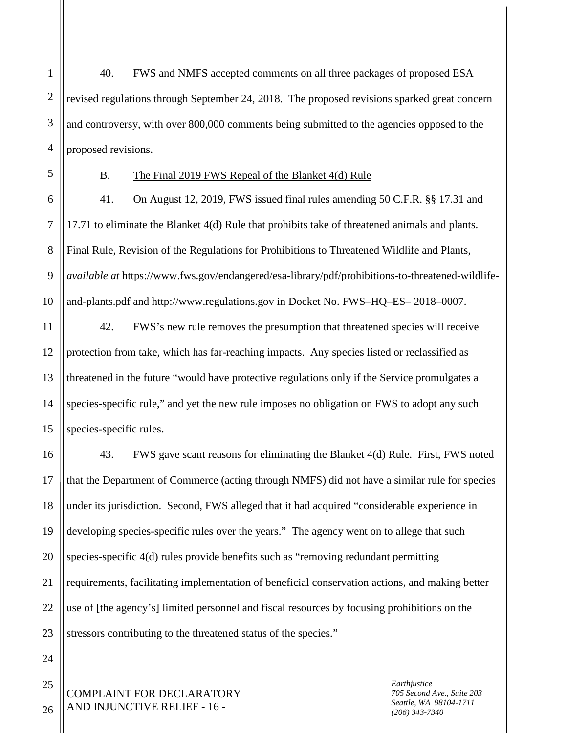2 3 4 40. FWS and NMFS accepted comments on all three packages of proposed ESA revised regulations through September 24, 2018. The proposed revisions sparked great concern and controversy, with over 800,000 comments being submitted to the agencies opposed to the proposed revisions.

5

7

1

# B. The Final 2019 FWS Repeal of the Blanket 4(d) Rule

6 8 9 10 41. On August 12, 2019, FWS issued final rules amending 50 C.F.R. §§ 17.31 and 17.71 to eliminate the Blanket 4(d) Rule that prohibits take of threatened animals and plants. Final Rule, Revision of the Regulations for Prohibitions to Threatened Wildlife and Plants, *available at* https://www.fws.gov/endangered/esa-library/pdf/prohibitions-to-threatened-wildlifeand-plants.pdf and http://www.regulations.gov in Docket No. FWS–HQ–ES– 2018–0007.

11 12 13 14 15 42. FWS's new rule removes the presumption that threatened species will receive protection from take, which has far-reaching impacts. Any species listed or reclassified as threatened in the future "would have protective regulations only if the Service promulgates a species-specific rule," and yet the new rule imposes no obligation on FWS to adopt any such species-specific rules.

16 17 18 19 20 21 22 23 43. FWS gave scant reasons for eliminating the Blanket 4(d) Rule. First, FWS noted that the Department of Commerce (acting through NMFS) did not have a similar rule for species under its jurisdiction. Second, FWS alleged that it had acquired "considerable experience in developing species-specific rules over the years." The agency went on to allege that such species-specific 4(d) rules provide benefits such as "removing redundant permitting requirements, facilitating implementation of beneficial conservation actions, and making better use of [the agency's] limited personnel and fiscal resources by focusing prohibitions on the stressors contributing to the threatened status of the species."

COMPLAINT FOR DECLARATORY AND INJUNCTIVE RELIEF - 16 -

*Earthjustice 705 Second Ave., Suite 203 Seattle, WA 98104-1711 (206) 343-7340*

26

24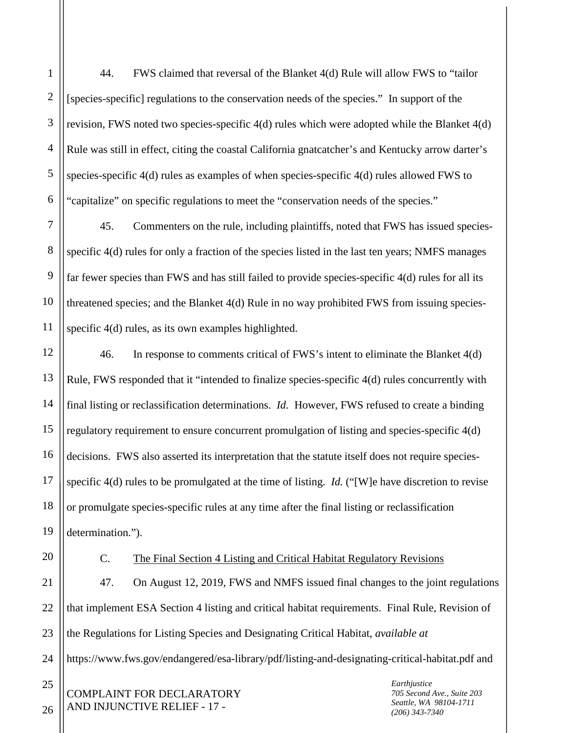44. FWS claimed that reversal of the Blanket 4(d) Rule will allow FWS to "tailor [species-specific] regulations to the conservation needs of the species." In support of the revision, FWS noted two species-specific 4(d) rules which were adopted while the Blanket 4(d) Rule was still in effect, citing the coastal California gnatcatcher's and Kentucky arrow darter's species-specific 4(d) rules as examples of when species-specific 4(d) rules allowed FWS to "capitalize" on specific regulations to meet the "conservation needs of the species."

7 8 9 10 11 45. Commenters on the rule, including plaintiffs, noted that FWS has issued speciesspecific 4(d) rules for only a fraction of the species listed in the last ten years; NMFS manages far fewer species than FWS and has still failed to provide species-specific 4(d) rules for all its threatened species; and the Blanket 4(d) Rule in no way prohibited FWS from issuing speciesspecific 4(d) rules, as its own examples highlighted.

12 13 14 15 16 17 18 19 46. In response to comments critical of FWS's intent to eliminate the Blanket 4(d) Rule, FWS responded that it "intended to finalize species-specific 4(d) rules concurrently with final listing or reclassification determinations. *Id.* However, FWS refused to create a binding regulatory requirement to ensure concurrent promulgation of listing and species-specific 4(d) decisions. FWS also asserted its interpretation that the statute itself does not require speciesspecific 4(d) rules to be promulgated at the time of listing. *Id.* ("[W]e have discretion to revise or promulgate species-specific rules at any time after the final listing or reclassification determination.").

20

1

2

3

4

5

6

## C. The Final Section 4 Listing and Critical Habitat Regulatory Revisions

21 22 23 24 47. On August 12, 2019, FWS and NMFS issued final changes to the joint regulations that implement ESA Section 4 listing and critical habitat requirements. Final Rule, Revision of the Regulations for Listing Species and Designating Critical Habitat, *available at* https://www.fws.gov/endangered/esa-library/pdf/listing-and-designating-critical-habitat.pdf and

COMPLAINT FOR DECLARATORY AND INJUNCTIVE RELIEF - 17 -

*Earthjustice 705 Second Ave., Suite 203 Seattle, WA 98104-1711 (206) 343-7340*

26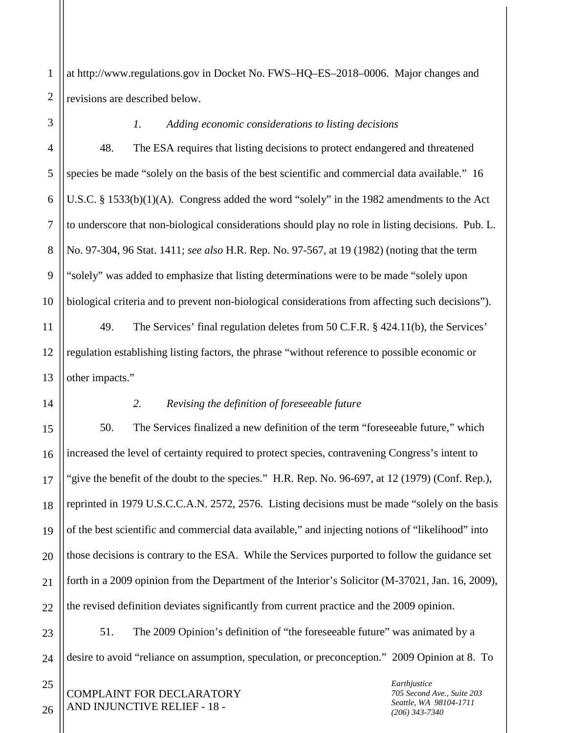1 2 at http://www.regulations.gov in Docket No. FWS–HQ–ES–2018–0006. Major changes and revisions are described below.

3

4

5

6

7

8

9

10

11

12

13

14

17

21

## *1. Adding economic considerations to listing decisions*

48. The ESA requires that listing decisions to protect endangered and threatened species be made "solely on the basis of the best scientific and commercial data available." 16 U.S.C. § 1533(b)(1)(A). Congress added the word "solely" in the 1982 amendments to the Act to underscore that non-biological considerations should play no role in listing decisions. Pub. L. No. 97-304, 96 Stat. 1411; *see also* H.R. Rep. No. 97-567, at 19 (1982) (noting that the term "solely" was added to emphasize that listing determinations were to be made "solely upon biological criteria and to prevent non-biological considerations from affecting such decisions").

49. The Services' final regulation deletes from 50 C.F.R. § 424.11(b), the Services' regulation establishing listing factors, the phrase "without reference to possible economic or other impacts."

# *2. Revising the definition of foreseeable future*

15 16 18 19 20 22 50. The Services finalized a new definition of the term "foreseeable future," which increased the level of certainty required to protect species, contravening Congress's intent to "give the benefit of the doubt to the species." H.R. Rep. No. 96-697, at 12 (1979) (Conf. Rep.), reprinted in 1979 U.S.C.C.A.N. 2572, 2576. Listing decisions must be made "solely on the basis of the best scientific and commercial data available," and injecting notions of "likelihood" into those decisions is contrary to the ESA. While the Services purported to follow the guidance set forth in a 2009 opinion from the Department of the Interior's Solicitor (M-37021, Jan. 16, 2009), the revised definition deviates significantly from current practice and the 2009 opinion.

23 24 51. The 2009 Opinion's definition of "the foreseeable future" was animated by a desire to avoid "reliance on assumption, speculation, or preconception." 2009 Opinion at 8. To

COMPLAINT FOR DECLARATORY AND INJUNCTIVE RELIEF - 18 -

*Earthjustice 705 Second Ave., Suite 203 Seattle, WA 98104-1711 (206) 343-7340*

26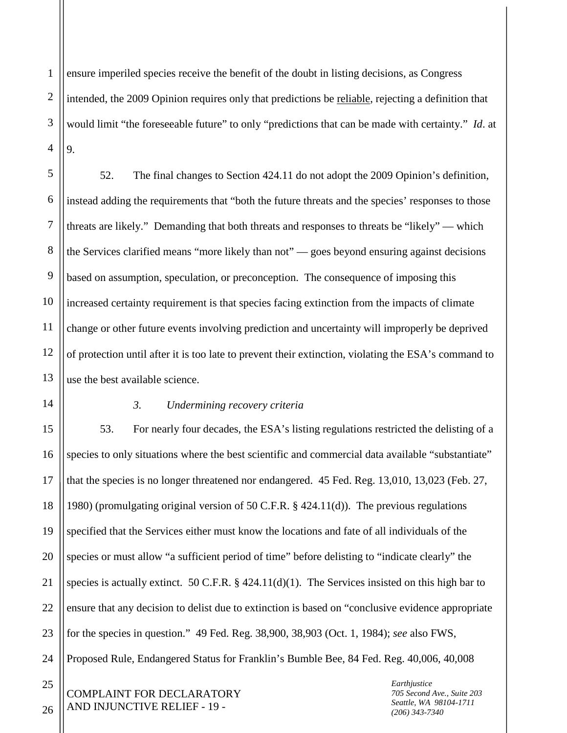1 2 3 4 ensure imperiled species receive the benefit of the doubt in listing decisions, as Congress intended, the 2009 Opinion requires only that predictions be reliable, rejecting a definition that would limit "the foreseeable future" to only "predictions that can be made with certainty." *Id*. at 9.

5 6 7 8 9 10 11 12 13 52. The final changes to Section 424.11 do not adopt the 2009 Opinion's definition, instead adding the requirements that "both the future threats and the species' responses to those threats are likely." Demanding that both threats and responses to threats be "likely" — which the Services clarified means "more likely than not" — goes beyond ensuring against decisions based on assumption, speculation, or preconception. The consequence of imposing this increased certainty requirement is that species facing extinction from the impacts of climate change or other future events involving prediction and uncertainty will improperly be deprived of protection until after it is too late to prevent their extinction, violating the ESA's command to use the best available science.

14

#### *3. Undermining recovery criteria*

15 16 17 18 19 20 21 22 23 24 53. For nearly four decades, the ESA's listing regulations restricted the delisting of a species to only situations where the best scientific and commercial data available "substantiate" that the species is no longer threatened nor endangered. 45 Fed. Reg. 13,010, 13,023 (Feb. 27, 1980) (promulgating original version of 50 C.F.R. § 424.11(d)). The previous regulations specified that the Services either must know the locations and fate of all individuals of the species or must allow "a sufficient period of time" before delisting to "indicate clearly" the species is actually extinct. 50 C.F.R. § 424.11(d)(1). The Services insisted on this high bar to ensure that any decision to delist due to extinction is based on "conclusive evidence appropriate for the species in question." 49 Fed. Reg. 38,900, 38,903 (Oct. 1, 1984); *see* also FWS, Proposed Rule, Endangered Status for Franklin's Bumble Bee, 84 Fed. Reg. 40,006, 40,008

COMPLAINT FOR DECLARATORY AND INJUNCTIVE RELIEF - 19 -

*Earthjustice 705 Second Ave., Suite 203 Seattle, WA 98104-1711 (206) 343-7340*

26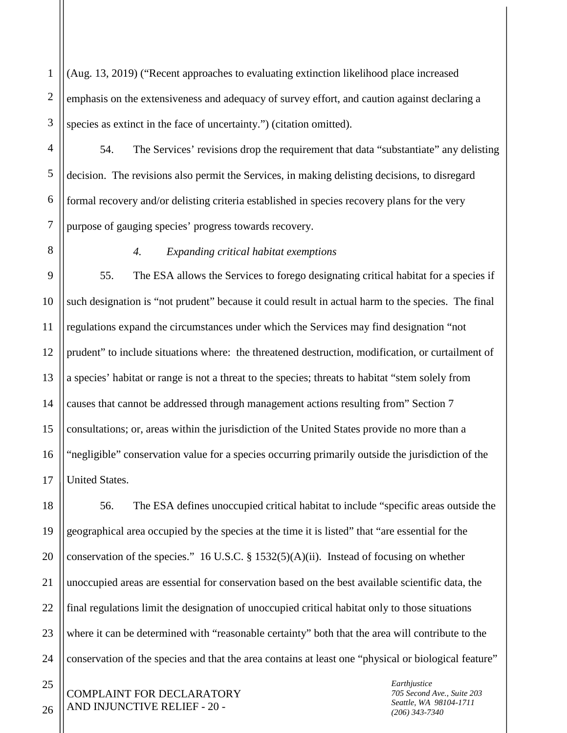1 2 3 (Aug. 13, 2019) ("Recent approaches to evaluating extinction likelihood place increased emphasis on the extensiveness and adequacy of survey effort, and caution against declaring a species as extinct in the face of uncertainty.") (citation omitted).

54. The Services' revisions drop the requirement that data "substantiate" any delisting decision. The revisions also permit the Services, in making delisting decisions, to disregard formal recovery and/or delisting criteria established in species recovery plans for the very purpose of gauging species' progress towards recovery.

4

5

6

7

8

### *4. Expanding critical habitat exemptions*

9 10 11 12 13 14 15 16 17 55. The ESA allows the Services to forego designating critical habitat for a species if such designation is "not prudent" because it could result in actual harm to the species. The final regulations expand the circumstances under which the Services may find designation "not prudent" to include situations where: the threatened destruction, modification, or curtailment of a species' habitat or range is not a threat to the species; threats to habitat "stem solely from causes that cannot be addressed through management actions resulting from" Section 7 consultations; or, areas within the jurisdiction of the United States provide no more than a "negligible" conservation value for a species occurring primarily outside the jurisdiction of the United States.

18 19 20 21 22 23 24 56. The ESA defines unoccupied critical habitat to include "specific areas outside the geographical area occupied by the species at the time it is listed" that "are essential for the conservation of the species." 16 U.S.C.  $\S$  1532(5)(A)(ii). Instead of focusing on whether unoccupied areas are essential for conservation based on the best available scientific data, the final regulations limit the designation of unoccupied critical habitat only to those situations where it can be determined with "reasonable certainty" both that the area will contribute to the conservation of the species and that the area contains at least one "physical or biological feature"

COMPLAINT FOR DECLARATORY AND INJUNCTIVE RELIEF - 20 -

*Earthjustice 705 Second Ave., Suite 203 Seattle, WA 98104-1711 (206) 343-7340*

26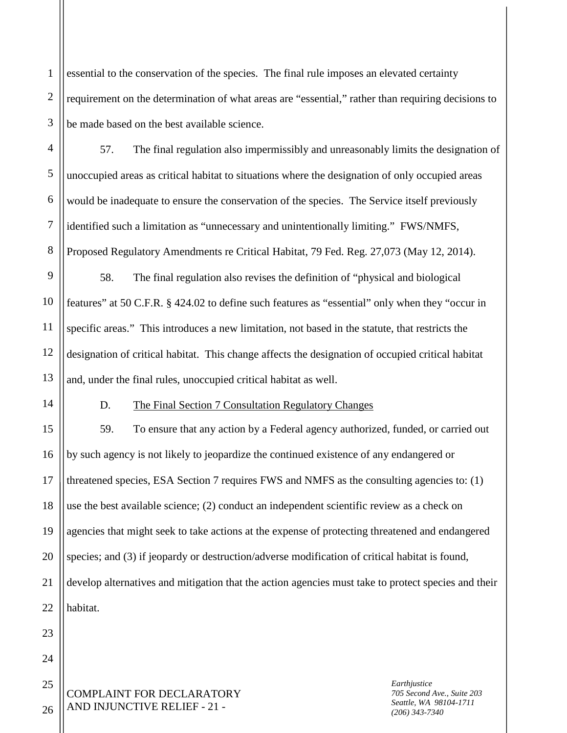2 3 essential to the conservation of the species. The final rule imposes an elevated certainty requirement on the determination of what areas are "essential," rather than requiring decisions to be made based on the best available science.

57. The final regulation also impermissibly and unreasonably limits the designation of unoccupied areas as critical habitat to situations where the designation of only occupied areas would be inadequate to ensure the conservation of the species. The Service itself previously identified such a limitation as "unnecessary and unintentionally limiting." FWS/NMFS, Proposed Regulatory Amendments re Critical Habitat, 79 Fed. Reg. 27,073 (May 12, 2014).

9 10 11 12 13 58. The final regulation also revises the definition of "physical and biological features" at 50 C.F.R. § 424.02 to define such features as "essential" only when they "occur in specific areas." This introduces a new limitation, not based in the statute, that restricts the designation of critical habitat. This change affects the designation of occupied critical habitat and, under the final rules, unoccupied critical habitat as well.

14

1

4

5

6

7

8

## D. The Final Section 7 Consultation Regulatory Changes

15 16 17 18 19 20 21 22 59. To ensure that any action by a Federal agency authorized, funded, or carried out by such agency is not likely to jeopardize the continued existence of any endangered or threatened species, ESA Section 7 requires FWS and NMFS as the consulting agencies to: (1) use the best available science; (2) conduct an independent scientific review as a check on agencies that might seek to take actions at the expense of protecting threatened and endangered species; and (3) if jeopardy or destruction/adverse modification of critical habitat is found, develop alternatives and mitigation that the action agencies must take to protect species and their habitat.

COMPLAINT FOR DECLARATORY AND INJUNCTIVE RELIEF - 21 -

*Earthjustice 705 Second Ave., Suite 203 Seattle, WA 98104-1711 (206) 343-7340*

26

23

24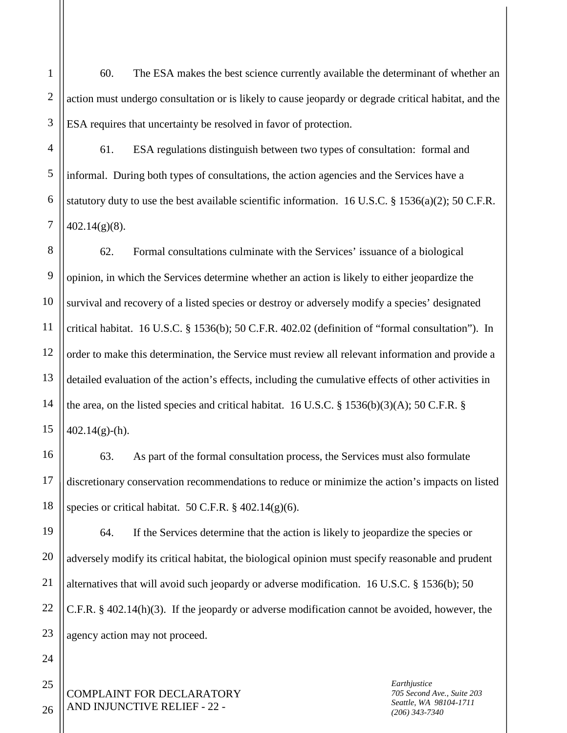60. The ESA makes the best science currently available the determinant of whether an action must undergo consultation or is likely to cause jeopardy or degrade critical habitat, and the ESA requires that uncertainty be resolved in favor of protection.

4 5 6 61. ESA regulations distinguish between two types of consultation: formal and informal. During both types of consultations, the action agencies and the Services have a statutory duty to use the best available scientific information. 16 U.S.C. § 1536(a)(2); 50 C.F.R.  $402.14(g)(8)$ .

8 9 10 11 12 13 14 15 62. Formal consultations culminate with the Services' issuance of a biological opinion, in which the Services determine whether an action is likely to either jeopardize the survival and recovery of a listed species or destroy or adversely modify a species' designated critical habitat. 16 U.S.C. § 1536(b); 50 C.F.R. 402.02 (definition of "formal consultation"). In order to make this determination, the Service must review all relevant information and provide a detailed evaluation of the action's effects, including the cumulative effects of other activities in the area, on the listed species and critical habitat. 16 U.S.C.  $\S$  1536(b)(3)(A); 50 C.F.R.  $\S$  $402.14(g)$ -(h).

63. As part of the formal consultation process, the Services must also formulate discretionary conservation recommendations to reduce or minimize the action's impacts on listed species or critical habitat.  $50$  C.F.R.  $\S$  402.14(g)(6).

64. If the Services determine that the action is likely to jeopardize the species or adversely modify its critical habitat, the biological opinion must specify reasonable and prudent alternatives that will avoid such jeopardy or adverse modification. 16 U.S.C. § 1536(b); 50 C.F.R. § 402.14(h)(3). If the jeopardy or adverse modification cannot be avoided, however, the agency action may not proceed.

COMPLAINT FOR DECLARATORY AND INJUNCTIVE RELIEF - 22 -

*Earthjustice 705 Second Ave., Suite 203 Seattle, WA 98104-1711 (206) 343-7340*

26

16

17

1

2

3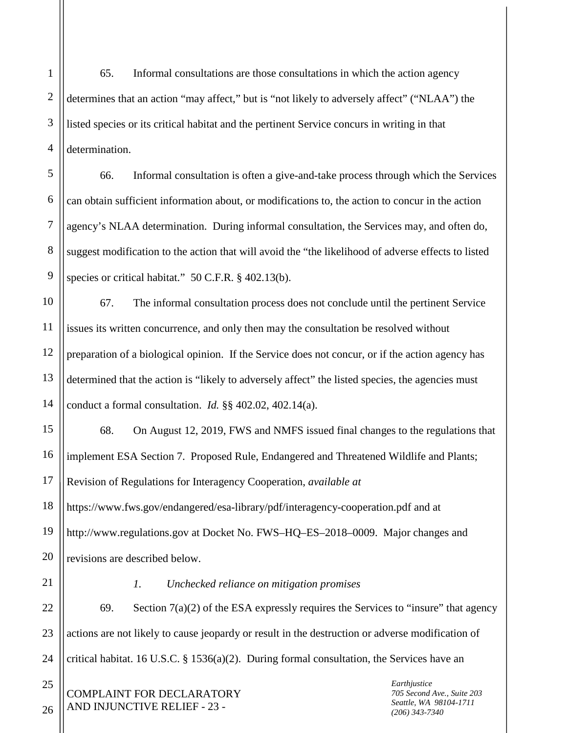2 3 4 65. Informal consultations are those consultations in which the action agency determines that an action "may affect," but is "not likely to adversely affect" ("NLAA") the listed species or its critical habitat and the pertinent Service concurs in writing in that determination.

5 6 7 8 9 66. Informal consultation is often a give-and-take process through which the Services can obtain sufficient information about, or modifications to, the action to concur in the action agency's NLAA determination. During informal consultation, the Services may, and often do, suggest modification to the action that will avoid the "the likelihood of adverse effects to listed species or critical habitat." 50 C.F.R. § 402.13(b).

10 11 12 13 14 67. The informal consultation process does not conclude until the pertinent Service issues its written concurrence, and only then may the consultation be resolved without preparation of a biological opinion. If the Service does not concur, or if the action agency has determined that the action is "likely to adversely affect" the listed species, the agencies must conduct a formal consultation. *Id.* §§ 402.02, 402.14(a).

15 16 17 18 68. On August 12, 2019, FWS and NMFS issued final changes to the regulations that implement ESA Section 7. Proposed Rule, Endangered and Threatened Wildlife and Plants; Revision of Regulations for Interagency Cooperation, *available at* https://www.fws.gov/endangered/esa-library/pdf/interagency-cooperation.pdf and at

19 20 http://www.regulations.gov at Docket No. FWS–HQ–ES–2018–0009. Major changes and revisions are described below.

21 22

1

## *1. Unchecked reliance on mitigation promises*

23 24 69. Section  $7(a)(2)$  of the ESA expressly requires the Services to "insure" that agency actions are not likely to cause jeopardy or result in the destruction or adverse modification of critical habitat. 16 U.S.C. § 1536(a)(2). During formal consultation, the Services have an

COMPLAINT FOR DECLARATORY AND INJUNCTIVE RELIEF - 23 -

*Earthjustice 705 Second Ave., Suite 203 Seattle, WA 98104-1711 (206) 343-7340*

26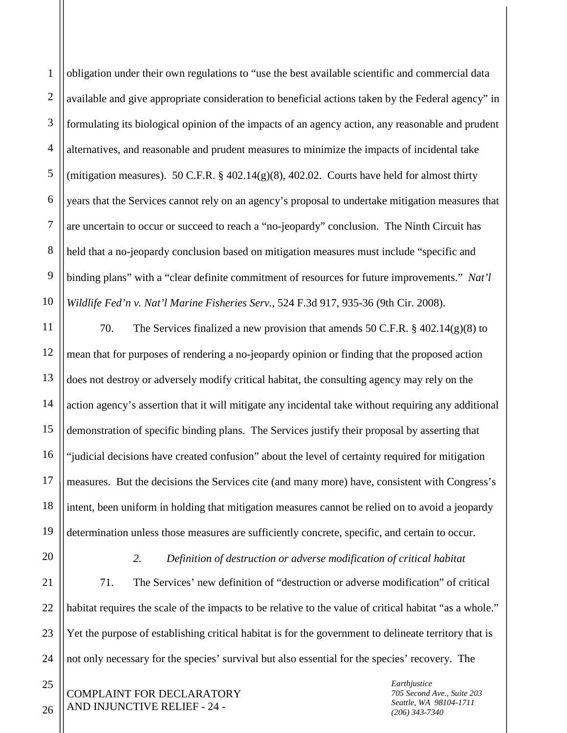1 2 3 4 5 6 7 8 9 10 obligation under their own regulations to "use the best available scientific and commercial data available and give appropriate consideration to beneficial actions taken by the Federal agency" in formulating its biological opinion of the impacts of an agency action, any reasonable and prudent alternatives, and reasonable and prudent measures to minimize the impacts of incidental take (mitigation measures). 50 C.F.R.  $\S$  402.14(g)(8), 402.02. Courts have held for almost thirty years that the Services cannot rely on an agency's proposal to undertake mitigation measures that are uncertain to occur or succeed to reach a "no-jeopardy" conclusion. The Ninth Circuit has held that a no-jeopardy conclusion based on mitigation measures must include "specific and binding plans" with a "clear definite commitment of resources for future improvements." *Nat'l Wildlife Fed'n v. Nat'l Marine Fisheries Serv.*, 524 F.3d 917, 935-36 (9th Cir. 2008).

11 12 13 14 15 16 17 18 70. The Services finalized a new provision that amends 50 C.F.R.  $\S$  402.14(g)(8) to mean that for purposes of rendering a no-jeopardy opinion or finding that the proposed action does not destroy or adversely modify critical habitat, the consulting agency may rely on the action agency's assertion that it will mitigate any incidental take without requiring any additional demonstration of specific binding plans. The Services justify their proposal by asserting that "judicial decisions have created confusion" about the level of certainty required for mitigation measures. But the decisions the Services cite (and many more) have, consistent with Congress's intent, been uniform in holding that mitigation measures cannot be relied on to avoid a jeopardy determination unless those measures are sufficiently concrete, specific, and certain to occur.

23

24

25

*2. Definition of destruction or adverse modification of critical habitat*

71. The Services' new definition of "destruction or adverse modification" of critical habitat requires the scale of the impacts to be relative to the value of critical habitat "as a whole." Yet the purpose of establishing critical habitat is for the government to delineate territory that is not only necessary for the species' survival but also essential for the species' recovery. The

COMPLAINT FOR DECLARATORY AND INJUNCTIVE RELIEF - 24 -

*Earthjustice 705 Second Ave., Suite 203 Seattle, WA 98104-1711 (206) 343-7340*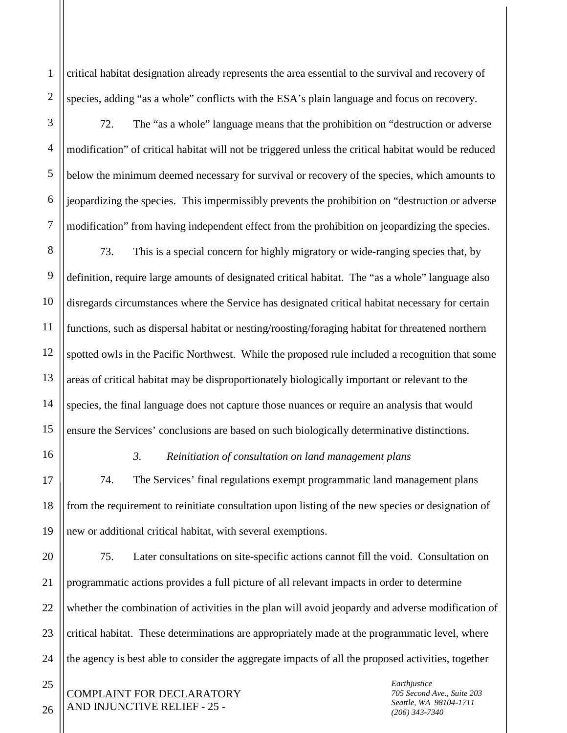critical habitat designation already represents the area essential to the survival and recovery of species, adding "as a whole" conflicts with the ESA's plain language and focus on recovery.

1

2

3

4

5

6

7

16

17

18

19

72. The "as a whole" language means that the prohibition on "destruction or adverse modification" of critical habitat will not be triggered unless the critical habitat would be reduced below the minimum deemed necessary for survival or recovery of the species, which amounts to jeopardizing the species. This impermissibly prevents the prohibition on "destruction or adverse modification" from having independent effect from the prohibition on jeopardizing the species.

8 9 10 11 12 13 14 15 73. This is a special concern for highly migratory or wide-ranging species that, by definition, require large amounts of designated critical habitat. The "as a whole" language also disregards circumstances where the Service has designated critical habitat necessary for certain functions, such as dispersal habitat or nesting/roosting/foraging habitat for threatened northern spotted owls in the Pacific Northwest. While the proposed rule included a recognition that some areas of critical habitat may be disproportionately biologically important or relevant to the species, the final language does not capture those nuances or require an analysis that would ensure the Services' conclusions are based on such biologically determinative distinctions.

#### *3. Reinitiation of consultation on land management plans*

74. The Services' final regulations exempt programmatic land management plans from the requirement to reinitiate consultation upon listing of the new species or designation of new or additional critical habitat, with several exemptions.

20 21 22 23 24 75. Later consultations on site-specific actions cannot fill the void. Consultation on programmatic actions provides a full picture of all relevant impacts in order to determine whether the combination of activities in the plan will avoid jeopardy and adverse modification of critical habitat. These determinations are appropriately made at the programmatic level, where the agency is best able to consider the aggregate impacts of all the proposed activities, together

COMPLAINT FOR DECLARATORY AND INJUNCTIVE RELIEF - 25 -

*Earthjustice 705 Second Ave., Suite 203 Seattle, WA 98104-1711 (206) 343-7340*

26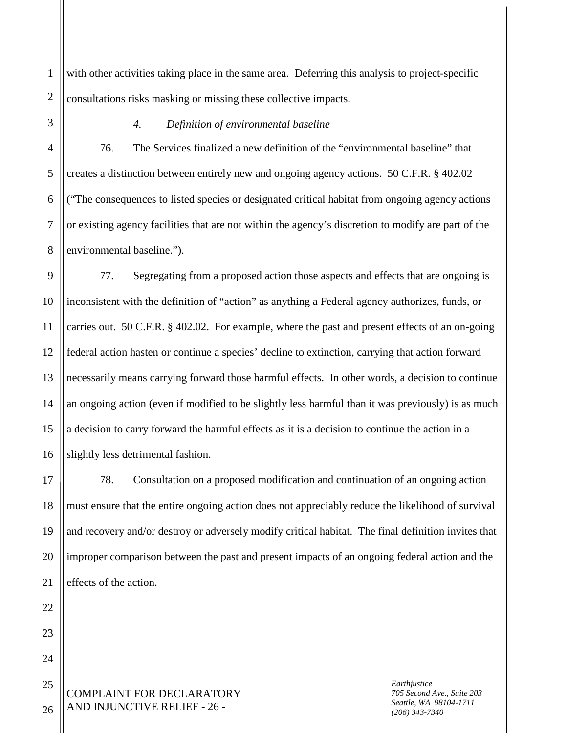1 2 with other activities taking place in the same area. Deferring this analysis to project-specific consultations risks masking or missing these collective impacts.

3

# *4. Definition of environmental baseline*

4 5 6 7 8 76. The Services finalized a new definition of the "environmental baseline" that creates a distinction between entirely new and ongoing agency actions. 50 C.F.R. § 402.02 ("The consequences to listed species or designated critical habitat from ongoing agency actions or existing agency facilities that are not within the agency's discretion to modify are part of the environmental baseline.").

9 10 11 12 13 14 15 16 77. Segregating from a proposed action those aspects and effects that are ongoing is inconsistent with the definition of "action" as anything a Federal agency authorizes, funds, or carries out. 50 C.F.R. § 402.02. For example, where the past and present effects of an on-going federal action hasten or continue a species' decline to extinction, carrying that action forward necessarily means carrying forward those harmful effects. In other words, a decision to continue an ongoing action (even if modified to be slightly less harmful than it was previously) is as much a decision to carry forward the harmful effects as it is a decision to continue the action in a slightly less detrimental fashion.

17 18 19 20 21 78. Consultation on a proposed modification and continuation of an ongoing action must ensure that the entire ongoing action does not appreciably reduce the likelihood of survival and recovery and/or destroy or adversely modify critical habitat. The final definition invites that improper comparison between the past and present impacts of an ongoing federal action and the effects of the action.

COMPLAINT FOR DECLARATORY AND INJUNCTIVE RELIEF - 26 -

*Earthjustice 705 Second Ave., Suite 203 Seattle, WA 98104-1711 (206) 343-7340*

26

22

23

24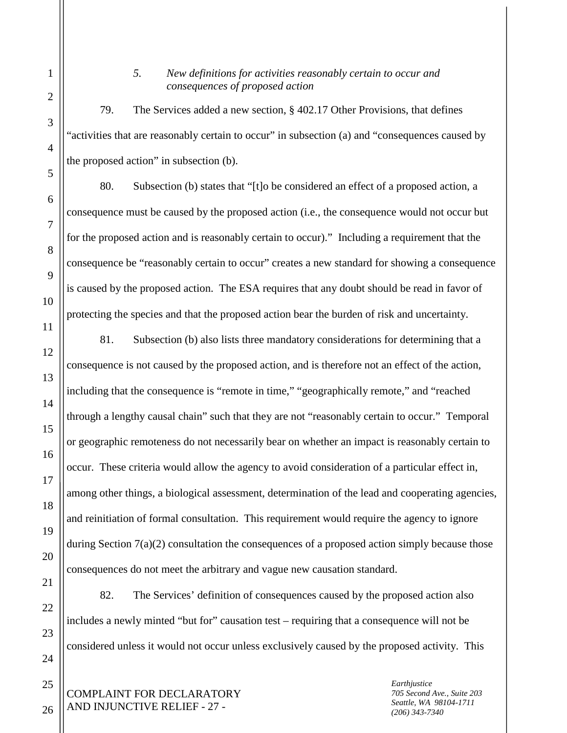## *5. New definitions for activities reasonably certain to occur and consequences of proposed action*

79. The Services added a new section, § 402.17 Other Provisions, that defines "activities that are reasonably certain to occur" in subsection (a) and "consequences caused by the proposed action" in subsection (b).

80. Subsection (b) states that "[t]o be considered an effect of a proposed action, a consequence must be caused by the proposed action (i.e., the consequence would not occur but for the proposed action and is reasonably certain to occur)." Including a requirement that the consequence be "reasonably certain to occur" creates a new standard for showing a consequence is caused by the proposed action. The ESA requires that any doubt should be read in favor of protecting the species and that the proposed action bear the burden of risk and uncertainty.

81. Subsection (b) also lists three mandatory considerations for determining that a consequence is not caused by the proposed action, and is therefore not an effect of the action, including that the consequence is "remote in time," "geographically remote," and "reached through a lengthy causal chain" such that they are not "reasonably certain to occur." Temporal or geographic remoteness do not necessarily bear on whether an impact is reasonably certain to occur. These criteria would allow the agency to avoid consideration of a particular effect in, among other things, a biological assessment, determination of the lead and cooperating agencies, and reinitiation of formal consultation. This requirement would require the agency to ignore during Section 7(a)(2) consultation the consequences of a proposed action simply because those consequences do not meet the arbitrary and vague new causation standard.

82. The Services' definition of consequences caused by the proposed action also includes a newly minted "but for" causation test – requiring that a consequence will not be considered unless it would not occur unless exclusively caused by the proposed activity. This

COMPLAINT FOR DECLARATORY AND INJUNCTIVE RELIEF - 27 -

*Earthjustice 705 Second Ave., Suite 203 Seattle, WA 98104-1711 (206) 343-7340*

25

26

1

2

3

4

5

6

7

8

9

10

11

12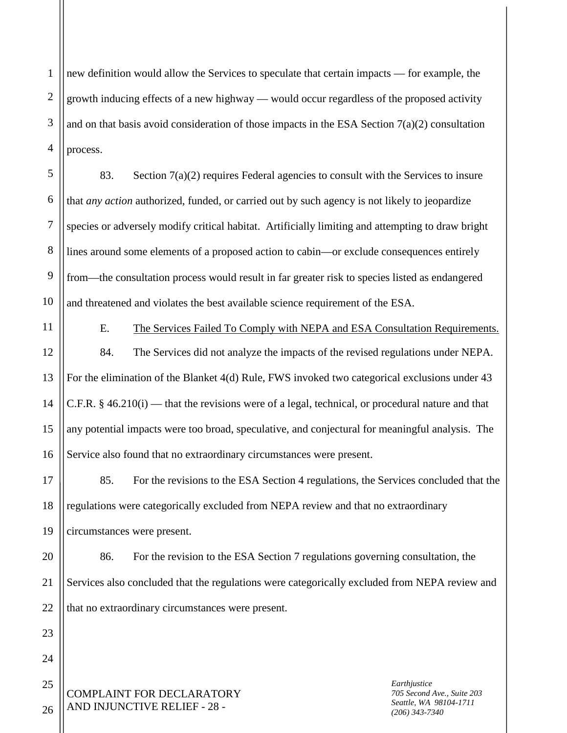1 2 3 4 new definition would allow the Services to speculate that certain impacts — for example, the growth inducing effects of a new highway — would occur regardless of the proposed activity and on that basis avoid consideration of those impacts in the ESA Section  $7(a)(2)$  consultation process.

5 6 7 8 9 10 83. Section  $7(a)(2)$  requires Federal agencies to consult with the Services to insure that *any action* authorized, funded, or carried out by such agency is not likely to jeopardize species or adversely modify critical habitat. Artificially limiting and attempting to draw bright lines around some elements of a proposed action to cabin—or exclude consequences entirely from—the consultation process would result in far greater risk to species listed as endangered and threatened and violates the best available science requirement of the ESA.

11

12

13

14

15

16

17

E. The Services Failed To Comply with NEPA and ESA Consultation Requirements. 84. The Services did not analyze the impacts of the revised regulations under NEPA. For the elimination of the Blanket 4(d) Rule, FWS invoked two categorical exclusions under 43 C.F.R. § 46.210(i) — that the revisions were of a legal, technical, or procedural nature and that any potential impacts were too broad, speculative, and conjectural for meaningful analysis. The Service also found that no extraordinary circumstances were present.

18 19 85. For the revisions to the ESA Section 4 regulations, the Services concluded that the regulations were categorically excluded from NEPA review and that no extraordinary circumstances were present.

20 21 22 86. For the revision to the ESA Section 7 regulations governing consultation, the Services also concluded that the regulations were categorically excluded from NEPA review and that no extraordinary circumstances were present.

COMPLAINT FOR DECLARATORY AND INJUNCTIVE RELIEF - 28 -

*Earthjustice 705 Second Ave., Suite 203 Seattle, WA 98104-1711 (206) 343-7340*

26

23

24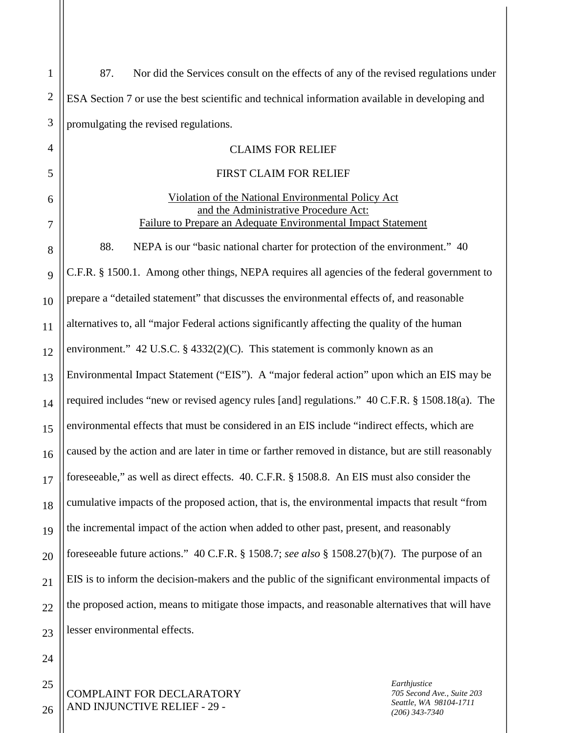| $\mathbf{1}$   | Nor did the Services consult on the effects of any of the revised regulations under<br>87.          |  |  |
|----------------|-----------------------------------------------------------------------------------------------------|--|--|
| $\overline{2}$ | ESA Section 7 or use the best scientific and technical information available in developing and      |  |  |
| 3              | promulgating the revised regulations.                                                               |  |  |
| $\overline{4}$ | <b>CLAIMS FOR RELIEF</b>                                                                            |  |  |
| 5              | <b>FIRST CLAIM FOR RELIEF</b>                                                                       |  |  |
| 6              | Violation of the National Environmental Policy Act<br>and the Administrative Procedure Act:         |  |  |
| 7              | Failure to Prepare an Adequate Environmental Impact Statement                                       |  |  |
| 8              | 88.<br>NEPA is our "basic national charter for protection of the environment." 40                   |  |  |
| 9              | C.F.R. § 1500.1. Among other things, NEPA requires all agencies of the federal government to        |  |  |
| 10             | prepare a "detailed statement" that discusses the environmental effects of, and reasonable          |  |  |
| 11             | alternatives to, all "major Federal actions significantly affecting the quality of the human        |  |  |
| 12             | environment." 42 U.S.C. § 4332(2)(C). This statement is commonly known as an                        |  |  |
| 13             | Environmental Impact Statement ("EIS"). A "major federal action" upon which an EIS may be           |  |  |
| 14             | required includes "new or revised agency rules [and] regulations." 40 C.F.R. § 1508.18(a). The      |  |  |
| 15             | environmental effects that must be considered in an EIS include "indirect effects, which are        |  |  |
| 16             | caused by the action and are later in time or farther removed in distance, but are still reasonably |  |  |
| 17             | foreseeable," as well as direct effects. 40. C.F.R. § 1508.8. An EIS must also consider the         |  |  |
| 18             | cumulative impacts of the proposed action, that is, the environmental impacts that result "from     |  |  |
| 19             | the incremental impact of the action when added to other past, present, and reasonably              |  |  |
| 20             | foreseeable future actions." 40 C.F.R. § 1508.7; see also § 1508.27(b)(7). The purpose of an        |  |  |
| 21             | EIS is to inform the decision-makers and the public of the significant environmental impacts of     |  |  |
| 22             | the proposed action, means to mitigate those impacts, and reasonable alternatives that will have    |  |  |
| 23             | lesser environmental effects.                                                                       |  |  |
| 24             |                                                                                                     |  |  |
|                |                                                                                                     |  |  |

25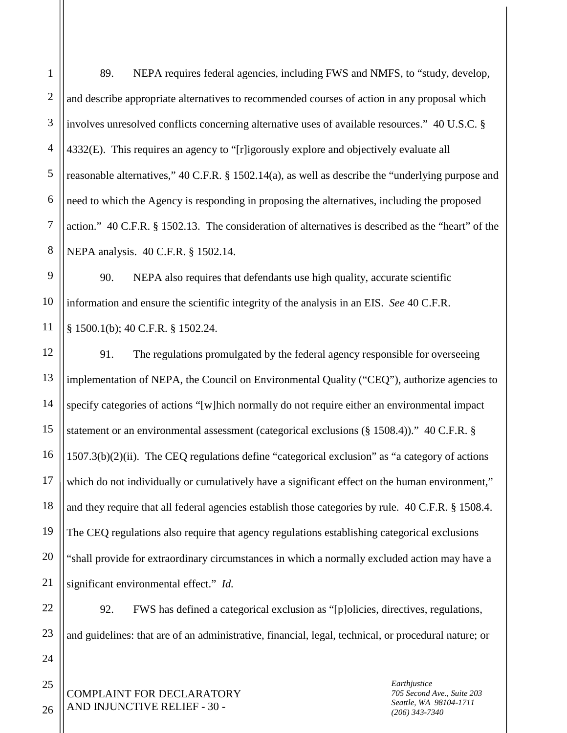3 4 5 6 8 89. NEPA requires federal agencies, including FWS and NMFS, to "study, develop, and describe appropriate alternatives to recommended courses of action in any proposal which involves unresolved conflicts concerning alternative uses of available resources." 40 U.S.C. § 4332(E). This requires an agency to "[r]igorously explore and objectively evaluate all reasonable alternatives," 40 C.F.R. § 1502.14(a), as well as describe the "underlying purpose and need to which the Agency is responding in proposing the alternatives, including the proposed action." 40 C.F.R. § 1502.13. The consideration of alternatives is described as the "heart" of the NEPA analysis. 40 C.F.R. § 1502.14.

9 10 90. NEPA also requires that defendants use high quality, accurate scientific information and ensure the scientific integrity of the analysis in an EIS. *See* 40 C.F.R. § 1500.1(b); 40 C.F.R. § 1502.24.

18 91. The regulations promulgated by the federal agency responsible for overseeing implementation of NEPA, the Council on Environmental Quality ("CEQ"), authorize agencies to specify categories of actions "[w]hich normally do not require either an environmental impact statement or an environmental assessment (categorical exclusions (§ 1508.4))." 40 C.F.R. § 1507.3(b)(2)(ii). The CEQ regulations define "categorical exclusion" as "a category of actions which do not individually or cumulatively have a significant effect on the human environment," and they require that all federal agencies establish those categories by rule. 40 C.F.R. § 1508.4. The CEQ regulations also require that agency regulations establishing categorical exclusions "shall provide for extraordinary circumstances in which a normally excluded action may have a significant environmental effect." *Id.*

92. FWS has defined a categorical exclusion as "[p]olicies, directives, regulations, and guidelines: that are of an administrative, financial, legal, technical, or procedural nature; or

COMPLAINT FOR DECLARATORY AND INJUNCTIVE RELIEF - 30 -

*Earthjustice 705 Second Ave., Suite 203 Seattle, WA 98104-1711 (206) 343-7340*

26

1

2

7

11

12

13

14

15

16

17

19

20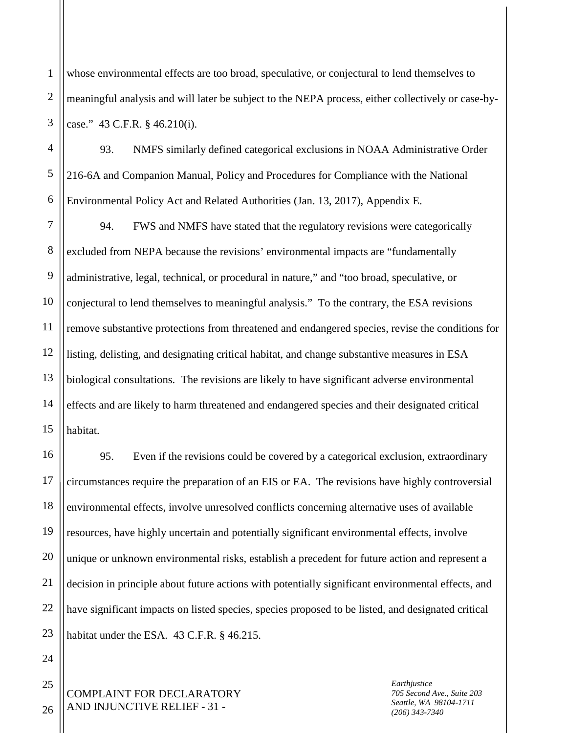1 2 3 whose environmental effects are too broad, speculative, or conjectural to lend themselves to meaningful analysis and will later be subject to the NEPA process, either collectively or case-bycase." 43 C.F.R. § 46.210(i).

4 5 6 93. NMFS similarly defined categorical exclusions in NOAA Administrative Order 216-6A and Companion Manual, Policy and Procedures for Compliance with the National Environmental Policy Act and Related Authorities (Jan. 13, 2017), Appendix E.

7 8 9 10 11 12 13 14 15 94. FWS and NMFS have stated that the regulatory revisions were categorically excluded from NEPA because the revisions' environmental impacts are "fundamentally administrative, legal, technical, or procedural in nature," and "too broad, speculative, or conjectural to lend themselves to meaningful analysis." To the contrary, the ESA revisions remove substantive protections from threatened and endangered species, revise the conditions for listing, delisting, and designating critical habitat, and change substantive measures in ESA biological consultations. The revisions are likely to have significant adverse environmental effects and are likely to harm threatened and endangered species and their designated critical habitat.

16 17 18 19 20 21 22 23 95. Even if the revisions could be covered by a categorical exclusion, extraordinary circumstances require the preparation of an EIS or EA. The revisions have highly controversial environmental effects, involve unresolved conflicts concerning alternative uses of available resources, have highly uncertain and potentially significant environmental effects, involve unique or unknown environmental risks, establish a precedent for future action and represent a decision in principle about future actions with potentially significant environmental effects, and have significant impacts on listed species, species proposed to be listed, and designated critical habitat under the ESA. 43 C.F.R. § 46.215.

COMPLAINT FOR DECLARATORY AND INJUNCTIVE RELIEF - 31 -

*Earthjustice 705 Second Ave., Suite 203 Seattle, WA 98104-1711 (206) 343-7340*

26

24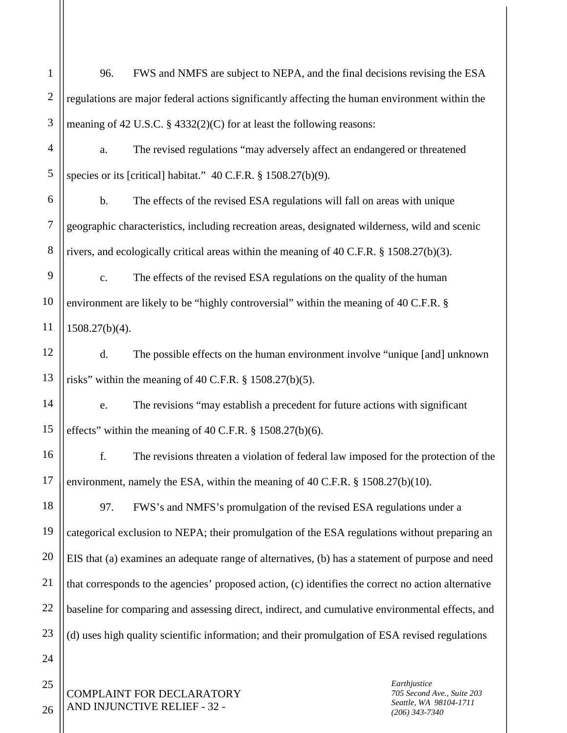| $\mathbf{1}$   | 96.                                                                                                 | FWS and NMFS are subject to NEPA, and the final decisions revising the ESA  |                                                                                          |
|----------------|-----------------------------------------------------------------------------------------------------|-----------------------------------------------------------------------------|------------------------------------------------------------------------------------------|
| $\mathbf{2}$   | regulations are major federal actions significantly affecting the human environment within the      |                                                                             |                                                                                          |
| 3              | meaning of 42 U.S.C. $\S$ 4332(2)(C) for at least the following reasons:                            |                                                                             |                                                                                          |
| $\overline{4}$ | The revised regulations "may adversely affect an endangered or threatened<br>a.                     |                                                                             |                                                                                          |
| 5              | species or its [critical] habitat." 40 C.F.R. § 1508.27(b)(9).                                      |                                                                             |                                                                                          |
| 6              | b.<br>The effects of the revised ESA regulations will fall on areas with unique                     |                                                                             |                                                                                          |
| $\overline{7}$ | geographic characteristics, including recreation areas, designated wilderness, wild and scenic      |                                                                             |                                                                                          |
| 8              | rivers, and ecologically critical areas within the meaning of 40 C.F.R. § 1508.27(b)(3).            |                                                                             |                                                                                          |
| 9              | The effects of the revised ESA regulations on the quality of the human<br>$\mathbf{c}$ .            |                                                                             |                                                                                          |
| 10             | environment are likely to be "highly controversial" within the meaning of 40 C.F.R. §               |                                                                             |                                                                                          |
| 11             | $1508.27(b)(4)$ .                                                                                   |                                                                             |                                                                                          |
| 12             | d.                                                                                                  | The possible effects on the human environment involve "unique [and] unknown |                                                                                          |
| 13             | risks" within the meaning of 40 C.F.R. § 1508.27(b)(5).                                             |                                                                             |                                                                                          |
| 14             | The revisions "may establish a precedent for future actions with significant<br>e.                  |                                                                             |                                                                                          |
| 15             | effects" within the meaning of 40 C.F.R. § 1508.27(b)(6).                                           |                                                                             |                                                                                          |
| 16             | f.<br>The revisions threaten a violation of federal law imposed for the protection of the           |                                                                             |                                                                                          |
| 17             | environment, namely the ESA, within the meaning of 40 C.F.R. § 1508.27(b)(10).                      |                                                                             |                                                                                          |
| 18             | 97.                                                                                                 | FWS's and NMFS's promulgation of the revised ESA regulations under a        |                                                                                          |
| 19             | categorical exclusion to NEPA; their promulgation of the ESA regulations without preparing an       |                                                                             |                                                                                          |
| 20             | EIS that (a) examines an adequate range of alternatives, (b) has a statement of purpose and need    |                                                                             |                                                                                          |
| 21             | that corresponds to the agencies' proposed action, (c) identifies the correct no action alternative |                                                                             |                                                                                          |
| 22             | baseline for comparing and assessing direct, indirect, and cumulative environmental effects, and    |                                                                             |                                                                                          |
| 23             | (d) uses high quality scientific information; and their promulgation of ESA revised regulations     |                                                                             |                                                                                          |
| 24             |                                                                                                     |                                                                             |                                                                                          |
| 25<br>26       |                                                                                                     | COMPLAINT FOR DECLARATORY<br>AND INJUNCTIVE RELIEF - 32 -                   | Earthjustice<br>705 Second Ave., Suite 203<br>Seattle, WA 98104-1711<br>$(206)$ 343-7340 |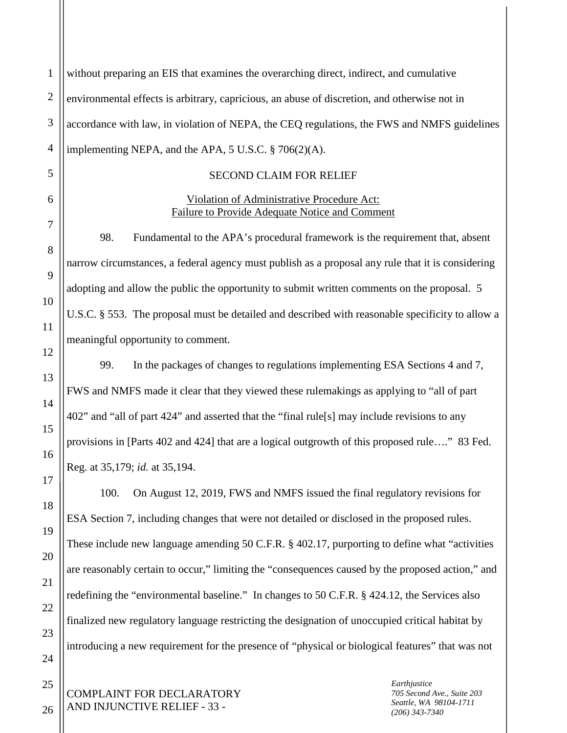| $\mathbf{1}$   | without preparing an EIS that examines the overarching direct, indirect, and cumulative             |
|----------------|-----------------------------------------------------------------------------------------------------|
| $\overline{2}$ | environmental effects is arbitrary, capricious, an abuse of discretion, and otherwise not in        |
| 3              | accordance with law, in violation of NEPA, the CEQ regulations, the FWS and NMFS guidelines         |
| $\overline{4}$ | implementing NEPA, and the APA, 5 U.S.C. § 706(2)(A).                                               |
| 5              | <b>SECOND CLAIM FOR RELIEF</b>                                                                      |
| 6              | Violation of Administrative Procedure Act:<br><b>Failure to Provide Adequate Notice and Comment</b> |
| 7              | 98.<br>Fundamental to the APA's procedural framework is the requirement that, absent                |
| 8              | narrow circumstances, a federal agency must publish as a proposal any rule that it is considering   |
| 9              | adopting and allow the public the opportunity to submit written comments on the proposal. 5         |
| 10             | U.S.C. § 553. The proposal must be detailed and described with reasonable specificity to allow a    |
| 11             | meaningful opportunity to comment.                                                                  |
| 12             | 99.<br>In the packages of changes to regulations implementing ESA Sections 4 and 7,                 |
| 13             | FWS and NMFS made it clear that they viewed these rulemakings as applying to "all of part           |
| 14             | 402" and "all of part 424" and asserted that the "final rule[s] may include revisions to any        |
| 15             | provisions in [Parts 402 and 424] that are a logical outgrowth of this proposed rule" 83 Fed.       |
| 16             | Reg. at 35,179; id. at 35,194.                                                                      |
| 17             | On August 12, 2019, FWS and NMFS issued the final regulatory revisions for<br>100.                  |
| 18             | ESA Section 7, including changes that were not detailed or disclosed in the proposed rules.         |
| 19             | These include new language amending 50 C.F.R. § 402.17, purporting to define what "activities"      |
| 20             | are reasonably certain to occur," limiting the "consequences caused by the proposed action," and    |
| 21             | redefining the "environmental baseline." In changes to 50 C.F.R. § 424.12, the Services also        |
| 22             |                                                                                                     |
| 23             | finalized new regulatory language restricting the designation of unoccupied critical habitat by     |
| 24             | introducing a new requirement for the presence of "physical or biological features" that was not    |
| 25             | Earthjustice                                                                                        |

COMPLAINT FOR DECLARATORY AND INJUNCTIVE RELIEF - 33 -

26

*Earthjustice 705 Second Ave., Suite 203 Seattle, WA 98104-1711 (206) 343-7340*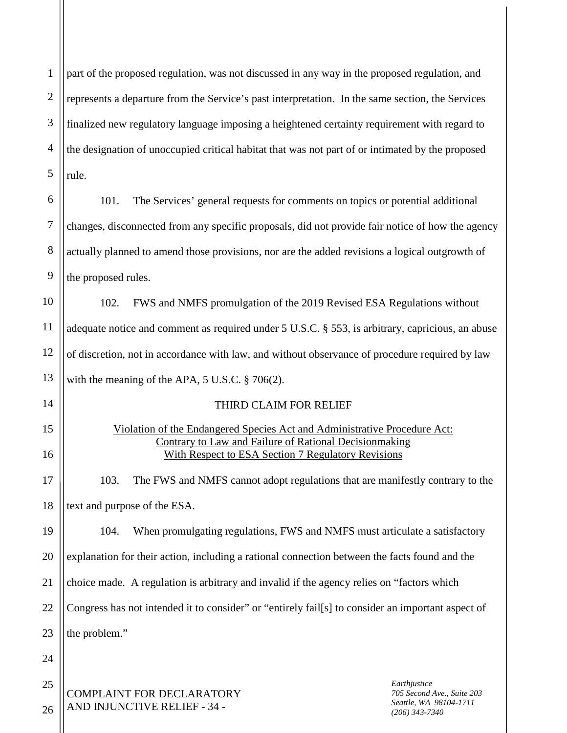COMPLAINT FOR DECLARATORY AND INJUNCTIVE RELIEF - 34 - 1 2 3 4 5 6 7 8 9 10 11 12 13 14 15 16 17 18 19 20 21 22 23 24 25 26 *Earthjustice 705 Second Ave., Suite 203 Seattle, WA 98104-1711 (206) 343-7340* part of the proposed regulation, was not discussed in any way in the proposed regulation, and represents a departure from the Service's past interpretation. In the same section, the Services finalized new regulatory language imposing a heightened certainty requirement with regard to the designation of unoccupied critical habitat that was not part of or intimated by the proposed rule. 101. The Services' general requests for comments on topics or potential additional changes, disconnected from any specific proposals, did not provide fair notice of how the agency actually planned to amend those provisions, nor are the added revisions a logical outgrowth of the proposed rules. 102. FWS and NMFS promulgation of the 2019 Revised ESA Regulations without adequate notice and comment as required under 5 U.S.C. § 553, is arbitrary, capricious, an abuse of discretion, not in accordance with law, and without observance of procedure required by law with the meaning of the APA, 5 U.S.C. § 706(2). THIRD CLAIM FOR RELIEF Violation of the Endangered Species Act and Administrative Procedure Act: Contrary to Law and Failure of Rational Decisionmaking With Respect to ESA Section 7 Regulatory Revisions 103. The FWS and NMFS cannot adopt regulations that are manifestly contrary to the text and purpose of the ESA. 104. When promulgating regulations, FWS and NMFS must articulate a satisfactory explanation for their action, including a rational connection between the facts found and the choice made. A regulation is arbitrary and invalid if the agency relies on "factors which Congress has not intended it to consider" or "entirely fail[s] to consider an important aspect of the problem."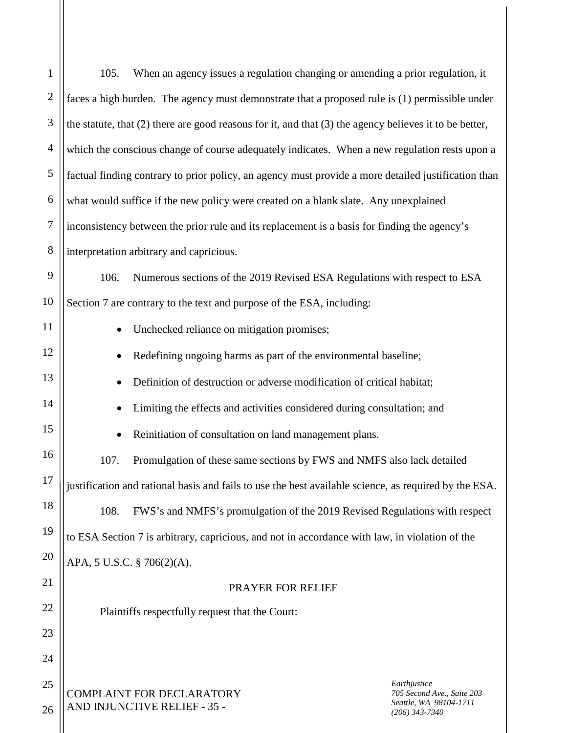| $\mathbf{1}$   | When an agency issues a regulation changing or amending a prior regulation, it<br>105.                     |  |  |
|----------------|------------------------------------------------------------------------------------------------------------|--|--|
| $\mathbf{2}$   | faces a high burden. The agency must demonstrate that a proposed rule is (1) permissible under             |  |  |
| 3              | the statute, that $(2)$ there are good reasons for it, and that $(3)$ the agency believes it to be better, |  |  |
| $\overline{4}$ | which the conscious change of course adequately indicates. When a new regulation rests upon a              |  |  |
| $\mathfrak s$  | factual finding contrary to prior policy, an agency must provide a more detailed justification than        |  |  |
| 6              | what would suffice if the new policy were created on a blank slate. Any unexplained                        |  |  |
| $\overline{7}$ | inconsistency between the prior rule and its replacement is a basis for finding the agency's               |  |  |
| 8              | interpretation arbitrary and capricious.                                                                   |  |  |
| 9              | 106.<br>Numerous sections of the 2019 Revised ESA Regulations with respect to ESA                          |  |  |
| 10             | Section 7 are contrary to the text and purpose of the ESA, including:                                      |  |  |
| 11             | Unchecked reliance on mitigation promises;                                                                 |  |  |
| 12             | Redefining ongoing harms as part of the environmental baseline;                                            |  |  |
| 13             | Definition of destruction or adverse modification of critical habitat;                                     |  |  |
| 14             | Limiting the effects and activities considered during consultation; and                                    |  |  |
| 15             | Reinitiation of consultation on land management plans.                                                     |  |  |
| 16             | Promulgation of these same sections by FWS and NMFS also lack detailed<br>107.                             |  |  |
| 17             | justification and rational basis and fails to use the best available science, as required by the ESA.      |  |  |
| 18             | FWS's and NMFS's promulgation of the 2019 Revised Regulations with respect<br>108.                         |  |  |
| 19             | to ESA Section 7 is arbitrary, capricious, and not in accordance with law, in violation of the             |  |  |
| 20             | APA, 5 U.S.C. § 706(2)(A).                                                                                 |  |  |
| 21             | PRAYER FOR RELIEF                                                                                          |  |  |
| 22             | Plaintiffs respectfully request that the Court:                                                            |  |  |
| 23             |                                                                                                            |  |  |
| 24             |                                                                                                            |  |  |
| 25             | Earthjustice<br><b>COMPLAINT FOR DECLARATORY</b><br>705 Second Ave., Suite 203                             |  |  |
| 26             | Seattle, WA 98104-1711<br>AND INJUNCTIVE RELIEF - 35 -<br>$(206)$ 343-7340                                 |  |  |
|                |                                                                                                            |  |  |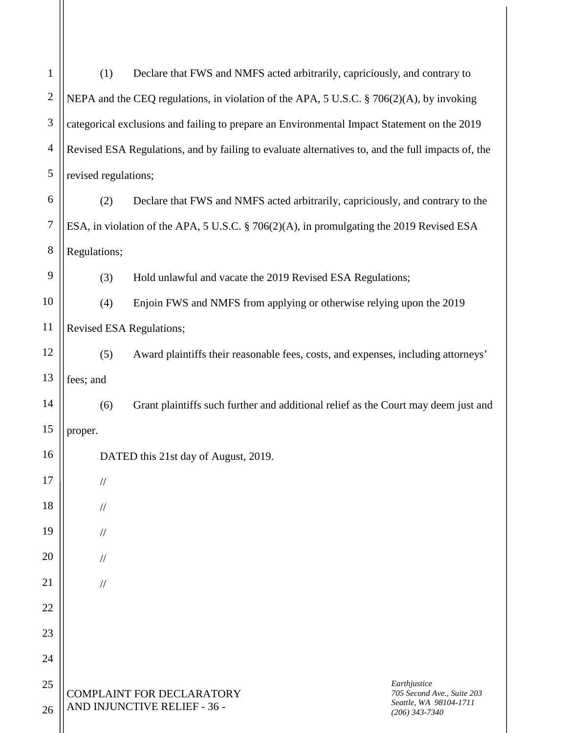| $\mathbf{1}$   | (1)                                                                                      | Declare that FWS and NMFS acted arbitrarily, capriciously, and contrary to                        |                                                                          |
|----------------|------------------------------------------------------------------------------------------|---------------------------------------------------------------------------------------------------|--------------------------------------------------------------------------|
| $\mathbf{2}$   | NEPA and the CEQ regulations, in violation of the APA, 5 U.S.C. § 706(2)(A), by invoking |                                                                                                   |                                                                          |
| $\mathfrak{Z}$ |                                                                                          | categorical exclusions and failing to prepare an Environmental Impact Statement on the 2019       |                                                                          |
| $\overline{4}$ |                                                                                          |                                                                                                   |                                                                          |
|                |                                                                                          | Revised ESA Regulations, and by failing to evaluate alternatives to, and the full impacts of, the |                                                                          |
| 5              | revised regulations;                                                                     |                                                                                                   |                                                                          |
| 6              | (2)<br>Declare that FWS and NMFS acted arbitrarily, capriciously, and contrary to the    |                                                                                                   |                                                                          |
| $\overline{7}$ |                                                                                          | ESA, in violation of the APA, 5 U.S.C. § 706(2)(A), in promulgating the 2019 Revised ESA          |                                                                          |
| $8\,$          | Regulations;                                                                             |                                                                                                   |                                                                          |
| 9              | (3)                                                                                      | Hold unlawful and vacate the 2019 Revised ESA Regulations;                                        |                                                                          |
| 10             | (4)                                                                                      | Enjoin FWS and NMFS from applying or otherwise relying upon the 2019                              |                                                                          |
| 11             |                                                                                          | Revised ESA Regulations;                                                                          |                                                                          |
| 12             | (5)                                                                                      | Award plaintiffs their reasonable fees, costs, and expenses, including attorneys'                 |                                                                          |
| 13             | fees; and                                                                                |                                                                                                   |                                                                          |
| 14             | (6)                                                                                      | Grant plaintiffs such further and additional relief as the Court may deem just and                |                                                                          |
| 15             | proper.                                                                                  |                                                                                                   |                                                                          |
| 16             |                                                                                          | DATED this 21st day of August, 2019.                                                              |                                                                          |
| 17             |                                                                                          |                                                                                                   |                                                                          |
|                | $\frac{1}{2}$                                                                            |                                                                                                   |                                                                          |
| 18             | $\frac{1}{2}$                                                                            |                                                                                                   |                                                                          |
| 19             | $\frac{1}{2}$                                                                            |                                                                                                   |                                                                          |
| 20             | $\frac{1}{2}$                                                                            |                                                                                                   |                                                                          |
| 21             | $\frac{1}{2}$                                                                            |                                                                                                   |                                                                          |
| 22             |                                                                                          |                                                                                                   |                                                                          |
| 23             |                                                                                          |                                                                                                   |                                                                          |
| 24             |                                                                                          |                                                                                                   |                                                                          |
| 25             |                                                                                          |                                                                                                   | Earthjustice                                                             |
| 26             |                                                                                          | COMPLAINT FOR DECLARATORY<br>AND INJUNCTIVE RELIEF - 36 -                                         | 705 Second Ave., Suite 203<br>Seattle, WA 98104-1711<br>$(206)$ 343-7340 |
|                |                                                                                          |                                                                                                   |                                                                          |